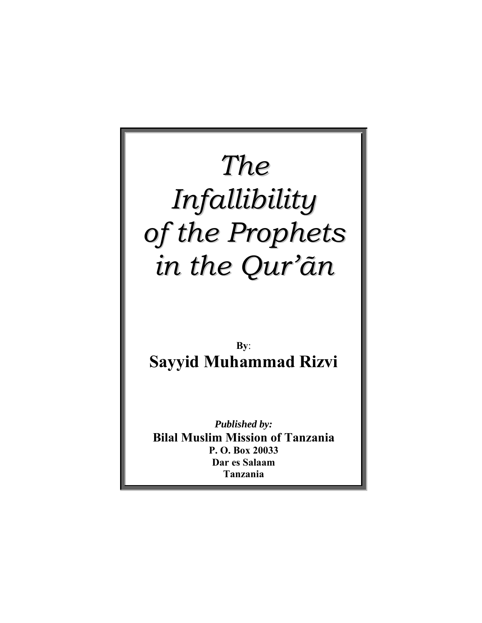# *The Infallibility of the Prophets in the Qur'ãn*

# **By**: **Sayyid Muhammad Rizvi**

*Published by:*  **Bilal Muslim Mission of Tanzania P. O. Box 20033 Dar es Salaam Tanzania**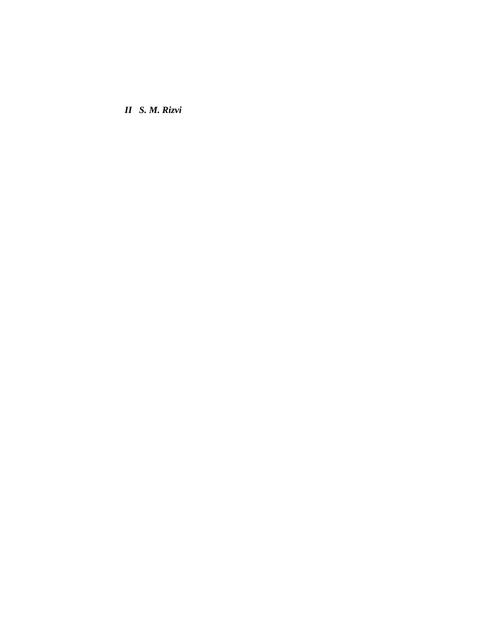*II S. M. Rizvi*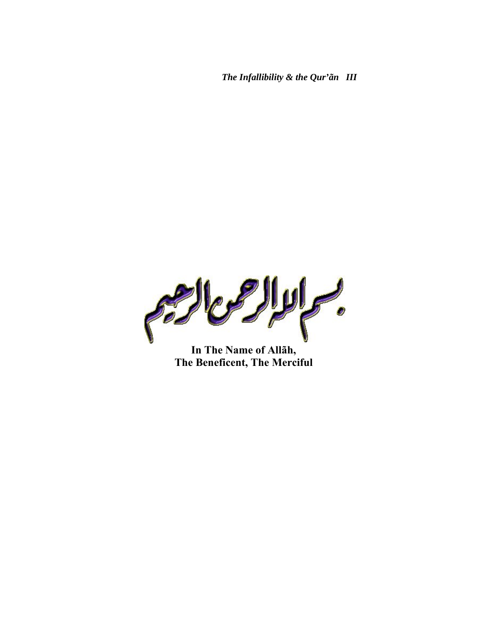*The Infallibility & the Qur'ãn III*



**In The Name of Allãh, The Beneficent, The Merciful**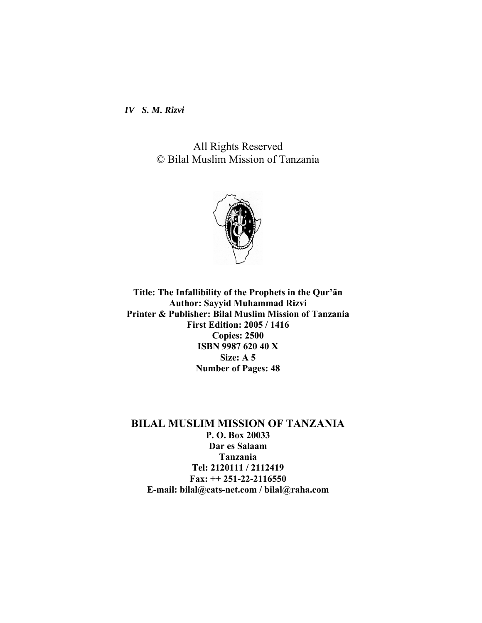*IV S. M. Rizvi* 

All Rights Reserved © Bilal Muslim Mission of Tanzania



**Title: The Infallibility of the Prophets in the Qur'ãn Author: Sayyid Muhammad Rizvi Printer & Publisher: Bilal Muslim Mission of Tanzania First Edition: 2005 / 1416 Copies: 2500 ISBN 9987 620 40 X Size: A 5 Number of Pages: 48** 

**BILAL MUSLIM MISSION OF TANZANIA P. O. Box 20033 Dar es Salaam Tanzania Tel: 2120111 / 2112419 Fax: ++ 251-22-2116550 E-mail: bilal@cats-net.com / bilal@raha.com**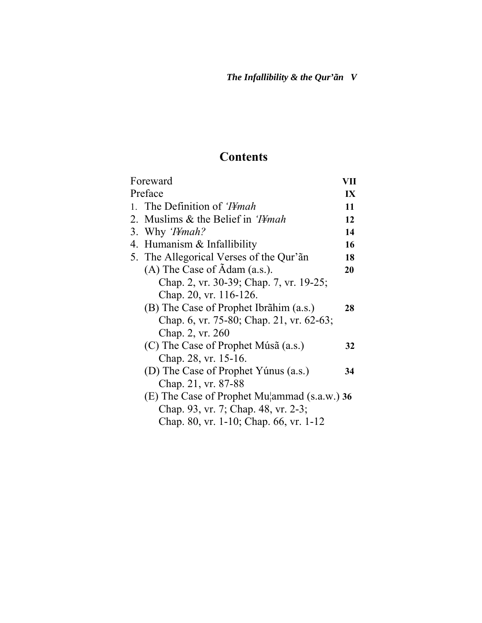## **Contents**

| Foreward                                        | VH |
|-------------------------------------------------|----|
| Preface                                         | IX |
| 1. The Definition of <i>T¥mah</i>               | 11 |
| Muslims & the Belief in <i>T¥mah</i><br>$2_{-}$ | 12 |
| 3. Why $I\#mah$ ?                               | 14 |
| 4. Humanism & Infallibility                     | 16 |
| 5. The Allegorical Verses of the Qur'an         | 18 |
| (A) The Case of $\tilde{A}$ dam (a.s.).         | 20 |
| Chap. 2, vr. 30-39; Chap. 7, vr. 19-25;         |    |
| Chap. 20, vr. 116-126.                          |    |
| (B) The Case of Prophet Ibrãhim (a.s.)          | 28 |
| Chap. 6, vr. 75-80; Chap. 21, vr. 62-63;        |    |
| Chap. 2, vr. 260                                |    |
| (C) The Case of Prophet Músã (a.s.)             | 32 |
| Chap. 28, vr. 15-16.                            |    |
| (D) The Case of Prophet Yúnus (a.s.)            | 34 |
| Chap. 21, vr. 87-88                             |    |
| (E) The Case of Prophet Mu¦ammad (s.a.w.) 36    |    |
| Chap. 93, vr. 7; Chap. 48, vr. 2-3;             |    |
| Chap. 80, vr. 1-10; Chap. 66, vr. 1-12          |    |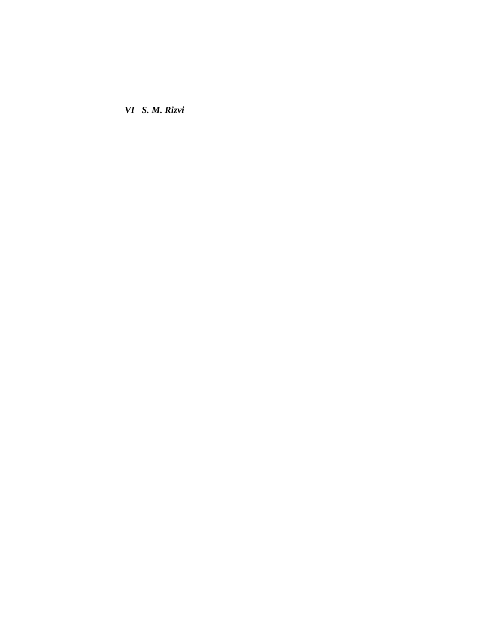*VI S. M. Rizvi*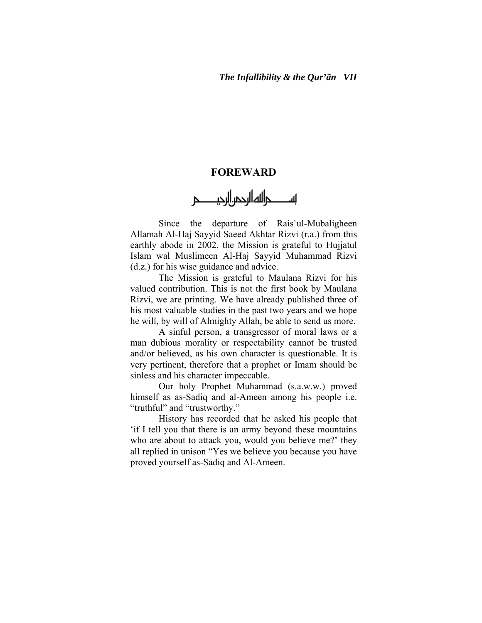#### **FOREWARD**

Since the departure of Rais`ul-Mubaligheen Allamah Al-Haj Sayyid Saeed Akhtar Rizvi (r.a.) from this earthly abode in 2002, the Mission is grateful to Hujjatul Islam wal Muslimeen Al-Haj Sayyid Muhammad Rizvi (d.z.) for his wise guidance and advice.

The Mission is grateful to Maulana Rizvi for his valued contribution. This is not the first book by Maulana Rizvi, we are printing. We have already published three of his most valuable studies in the past two years and we hope he will, by will of Almighty Allah, be able to send us more.

A sinful person, a transgressor of moral laws or a man dubious morality or respectability cannot be trusted and/or believed, as his own character is questionable. It is very pertinent, therefore that a prophet or Imam should be sinless and his character impeccable.

Our holy Prophet Muhammad (s.a.w.w.) proved himself as as-Sadiq and al-Ameen among his people i.e. "truthful" and "trustworthy."

History has recorded that he asked his people that 'if I tell you that there is an army beyond these mountains who are about to attack you, would you believe me?' they all replied in unison "Yes we believe you because you have proved yourself as-Sadiq and Al-Ameen.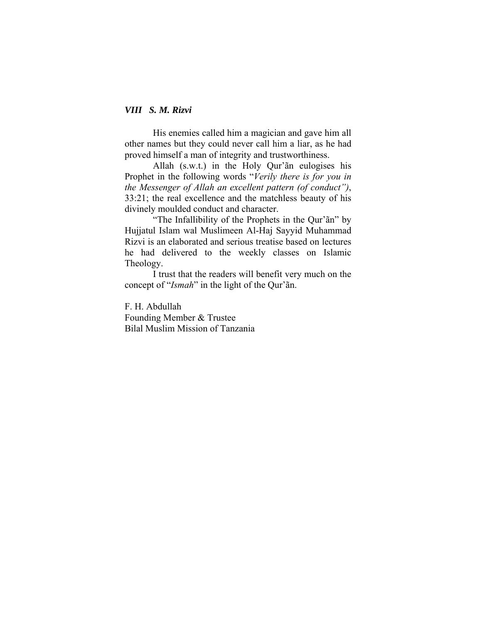#### *VIII S. M. Rizvi*

His enemies called him a magician and gave him all other names but they could never call him a liar, as he had proved himself a man of integrity and trustworthiness.

Allah (s.w.t.) in the Holy Qur'ãn eulogises his Prophet in the following words "*Verily there is for you in the Messenger of Allah an excellent pattern (of conduct")*, 33:21; the real excellence and the matchless beauty of his divinely moulded conduct and character.

"The Infallibility of the Prophets in the Qur'ãn" by Hujjatul Islam wal Muslimeen Al-Haj Sayyid Muhammad Rizvi is an elaborated and serious treatise based on lectures he had delivered to the weekly classes on Islamic Theology.

I trust that the readers will benefit very much on the concept of "*Ismah*" in the light of the Qur'ãn.

F. H. Abdullah Founding Member & Trustee Bilal Muslim Mission of Tanzania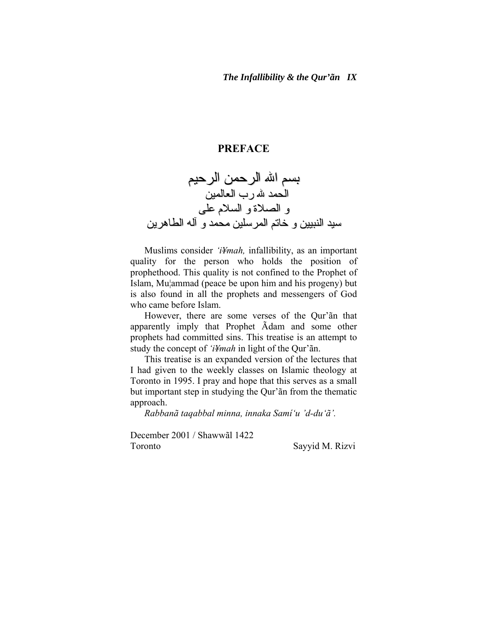## **PREFACE**

بسم الله الرحمن الرحيم<br>الحمد لله رب العالمين الصلاة و السلام على و الصلاة سيد النبيين و خاتم المرسلين محمد و آله الطاهرين<br>سيد النبيين و خاتم المرسلين محمد و آله الطاهرين

 Muslims consider *'i¥mah,* infallibility, as an important quality for the person who holds the position of prophethood. This quality is not confined to the Prophet of Islam, Mu¦ammad (peace be upon him and his progeny) but is also found in all the prophets and messengers of God who came before Islam.

 However, there are some verses of the Qur'ãn that apparently imply that Prophet Ãdam and some other prophets had committed sins. This treatise is an attempt to study the concept of *'i¥mah* in light of the Qur'ãn.

 This treatise is an expanded version of the lectures that I had given to the weekly classes on Islamic theology at Toronto in 1995. I pray and hope that this serves as a small but important step in studying the Qur'ãn from the thematic approach.

 *Rabbanã taqabbal minna, innaka Samí'u 'd-du'ã'.* 

December 2001 / Shawwãl 1422 Toronto Sayyid M. Rizvi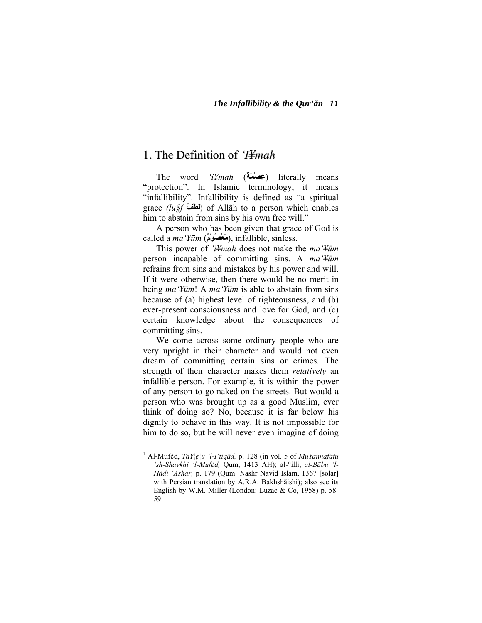## 1. The Definition of *'I¥mah*

 The word *'i¥mah* (**ٌةَمْصِع** (literally means "protection". In Islamic terminology, it means "infallibility". Infallibility is defined as "a spiritual grace *(lu§f* **ٌفْطُل** (of Allãh to a person which enables him to abstain from sins by his own free will."<sup>1</sup>

 A person who has been given that grace of God is called a *ma'¥ūm* (**ٌمْوُصْعَم**(, infallible, sinless.

 This power of *'i¥mah* does not make the *ma'¥ūm* person incapable of committing sins. A *ma'¥ūm* refrains from sins and mistakes by his power and will. If it were otherwise, then there would be no merit in being *ma'¥ūm*! A *ma'¥ūm* is able to abstain from sins because of (a) highest level of righteousness, and (b) ever-present consciousness and love for God, and (c) certain knowledge about the consequences of committing sins.

 We come across some ordinary people who are very upright in their character and would not even dream of committing certain sins or crimes. The strength of their character makes them *relatively* an infallible person. For example, it is within the power of any person to go naked on the streets. But would a person who was brought up as a good Muslim, ever think of doing so? No, because it is far below his dignity to behave in this way. It is not impossible for him to do so, but he will never even imagine of doing

 $\overline{a}$ 

<sup>1</sup> Al-Muf¢d, *Ta¥¦¢¦u 'l-I'tiqãd,* p. 128 (in vol. 5 of *Mu¥annafãtu 'sh-Shaykhi 'l-Muf¢d,* Qum, 1413 AH); al-°illi, *al-Bãbu 'l-Hãdi 'Ashar,* p. 179 (Qum: Nashr Navid Islam, 1367 [solar] with Persian translation by A.R.A. Bakhshãishi); also see its English by W.M. Miller (London: Luzac & Co, 1958) p. 58- 59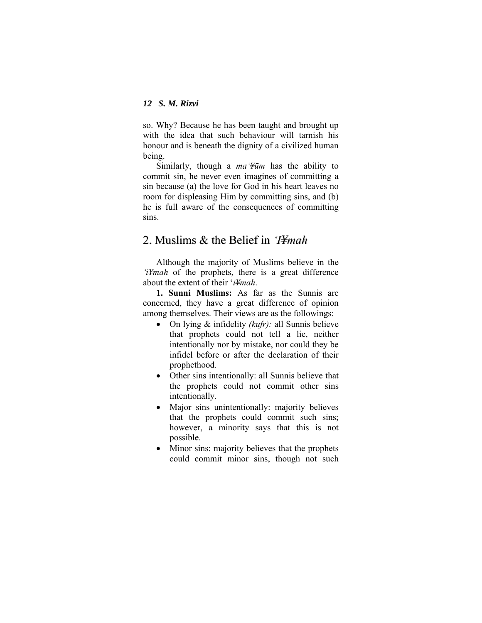so. Why? Because he has been taught and brought up with the idea that such behaviour will tarnish his honour and is beneath the dignity of a civilized human being.

 Similarly, though a *ma'¥ūm* has the ability to commit sin, he never even imagines of committing a sin because (a) the love for God in his heart leaves no room for displeasing Him by committing sins, and (b) he is full aware of the consequences of committing sins.

## 2. Muslims & the Belief in *'I¥mah*

 Although the majority of Muslims believe in the *'i¥mah* of the prophets, there is a great difference about the extent of their '*i¥mah*.

**1. Sunni Muslims:** As far as the Sunnis are concerned, they have a great difference of opinion among themselves. Their views are as the followings:

- On lying & infidelity *(kufr):* all Sunnis believe that prophets could not tell a lie, neither intentionally nor by mistake, nor could they be infidel before or after the declaration of their prophethood.
- Other sins intentionally: all Sunnis believe that the prophets could not commit other sins intentionally.
- Major sins unintentionally: majority believes that the prophets could commit such sins; however, a minority says that this is not possible.
- Minor sins: majority believes that the prophets could commit minor sins, though not such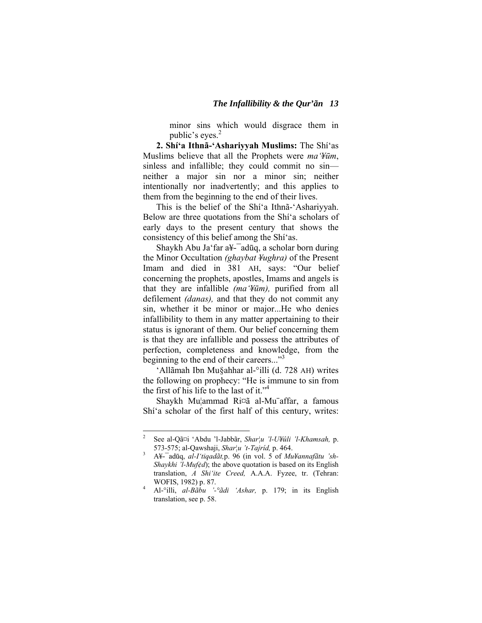minor sins which would disgrace them in public's eyes. $<sup>2</sup>$ </sup>

**2. Shí'a Ithnã-'Ashariyyah Muslims:** The Shí'as Muslims believe that all the Prophets were *ma'¥ūm*, sinless and infallible; they could commit no sin neither a major sin nor a minor sin; neither intentionally nor inadvertently; and this applies to them from the beginning to the end of their lives.

 This is the belief of the Shí'a Ithnã-'Ashariyyah. Below are three quotations from the Shí'a scholars of early days to the present century that shows the consistency of this belief among the Shí'as.

 Shaykh Abu Ja'far a¥-¯adūq, a scholar born during the Minor Occultation *(ghaybat ¥ughra)* of the Present Imam and died in 381 AH, says: "Our belief concerning the prophets, apostles, Imams and angels is that they are infallible *(ma'¥ūm),* purified from all defilement *(danas),* and that they do not commit any sin, whether it be minor or major...He who denies infallibility to them in any matter appertaining to their status is ignorant of them. Our belief concerning them is that they are infallible and possess the attributes of perfection, completeness and knowledge, from the beginning to the end of their careers..."<sup>3</sup>

 'Allãmah Ibn Mu§ahhar al-°illi (d. 728 AH) writes the following on prophecy: "He is immune to sin from the first of his life to the last of it." $4$ 

Shaykh Mu¦ammad Ri¤ã al-Mu¨affar, a famous Shí'a scholar of the first half of this century, writes:

 $\overline{a}$ 

<sup>2</sup> See al-Qã¤i 'Abdu 'l-Jabbãr, *Shar¦u 'l-U¥ûli 'l-Khamsah,* p. 573-575; al-Qawshaji, *Shar¦u 't-Tajríd,* p. 464. 3

A¥-¯adūq, *al-I'tiqadãt,*p. 96 (in vol. 5 of *Mu¥annafãtu 'sh-Shaykhi 'l-Muf¢d*); the above quotation is based on its English translation, *A Shi'ite Creed,* A.A.A. Fyzee, tr. (Tehran:

WOFIS, 1982) p. 87. 4 Al-°illi, *al-Bãbu '-°ãdi 'Ashar,* p. 179; in its English translation, see p. 58.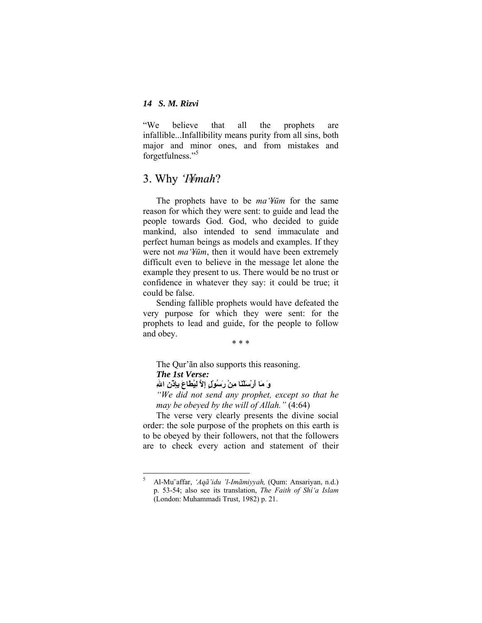"We believe that all the prophets are infallible...Infallibility means purity from all sins, both major and minor ones, and from mistakes and forgetfulness."<sup>5</sup>

## 3. Why *'I¥mah*?

 The prophets have to be *ma'¥ūm* for the same reason for which they were sent: to guide and lead the people towards God. God, who decided to guide mankind, also intended to send immaculate and perfect human beings as models and examples. If they were not *ma'¥ūm*, then it would have been extremely difficult even to believe in the message let alone the example they present to us. There would be no trust or confidence in whatever they say: it could be true; it could be false.

 Sending fallible prophets would have defeated the very purpose for which they were sent: for the prophets to lead and guide, for the people to follow and obey.

\* \* \*

 The Qur'ãn also supports this reasoning. *The 1st Verse:* 

 $\overline{a}$ 

**وَ مَا أَرْسَلْنَا مِنْ رَسُوْلٍ إِلاَّ لِيُطَاعَ بِإِذْنِ االلهِ**

*"We did not send any prophet, except so that he may be obeyed by the will of Allah."* (4:64)

 The verse very clearly presents the divine social order: the sole purpose of the prophets on this earth is to be obeyed by their followers, not that the followers are to check every action and statement of their

<sup>5</sup> Al-Mu¨affar, *'Aqã'idu 'l-Imãmiyyah,* (Qum: Ansariyan, n.d.) p. 53-54; also see its translation, *The Faith of Shí'a Islam* (London: Muhammadi Trust, 1982) p. 21.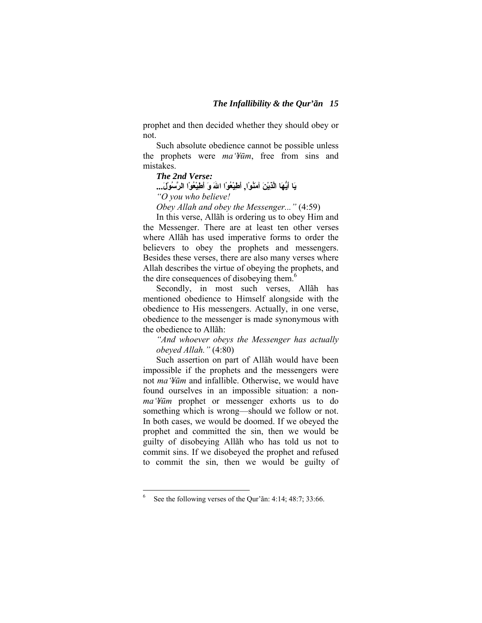prophet and then decided whether they should obey or not.

 Such absolute obedience cannot be possible unless the prophets were *ma'¥ūm*, free from sins and mistakes.

#### *The 2nd Verse:*  **يَا أَيُّهَا الَّذِيْنَ آمَنُوْا, أَطِيْعُوْا االلهَ وَ أَطِيْعُوْا الرَّسُوْلَ ...** *"O you who believe!*

*Obey Allah and obey the Messenger..."* (4:59)

 In this verse, Allãh is ordering us to obey Him and the Messenger. There are at least ten other verses where Allãh has used imperative forms to order the believers to obey the prophets and messengers. Besides these verses, there are also many verses where Allah describes the virtue of obeying the prophets, and the dire consequences of disobeying them.<sup>6</sup>

 Secondly, in most such verses, Allãh has mentioned obedience to Himself alongside with the obedience to His messengers. Actually, in one verse, obedience to the messenger is made synonymous with the obedience to Allãh:

*"And whoever obeys the Messenger has actually obeyed Allah."* (4:80)

 Such assertion on part of Allãh would have been impossible if the prophets and the messengers were not *ma'¥ūm* and infallible. Otherwise, we would have found ourselves in an impossible situation: a non*ma'¥ūm* prophet or messenger exhorts us to do something which is wrong—should we follow or not. In both cases, we would be doomed. If we obeyed the prophet and committed the sin, then we would be guilty of disobeying Allãh who has told us not to commit sins. If we disobeyed the prophet and refused to commit the sin, then we would be guilty of

 $\overline{a}$ 

<sup>6</sup> See the following verses of the Qur'ãn: 4:14; 48:7; 33:66.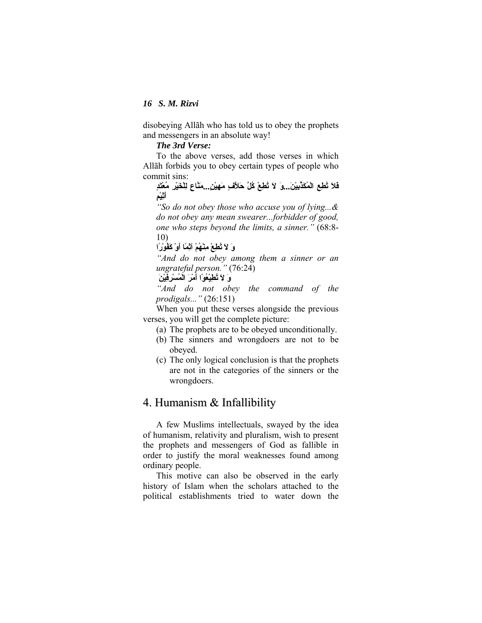disobeying Allãh who has told us to obey the prophets and messengers in an absolute way!

#### *The 3rd Verse:*

 To the above verses, add those verses in which Allãh forbids you to obey certain types of people who commit sins:

**فَلاَ تُطِعِ الْمُكَذِّبِيْن...َوَ لاَ تُطِعْ آُلَّ حَلاَّفٍ مَهِيْن...ٍمَنَّاعٍ لِلْخَيْرِ مُعْتَدٍ أَثِيْمٍ**

*"So do not obey those who accuse you of lying...& do not obey any mean swearer...forbidder of good, one who steps beyond the limits, a sinner."* (68:8- 10)

#### **وَ لاَ تُطِعْ مِنْهُمْ آثِمًا أَوْ آَفُوْرًا**

*"And do not obey among them a sinner or an ungrateful person."* (76:24)

**وَ لاَ تُطِيْعُوْا أَمْرَ الْمُسْرِفِيْنَ**

*"And do not obey the command of the prodigals..."* (26:151)

 When you put these verses alongside the previous verses, you will get the complete picture:

- (a) The prophets are to be obeyed unconditionally.
- (b) The sinners and wrongdoers are not to be obeyed.
- (c) The only logical conclusion is that the prophets are not in the categories of the sinners or the wrongdoers.

## 4. Humanism & Infallibility

 A few Muslims intellectuals, swayed by the idea of humanism, relativity and pluralism, wish to present the prophets and messengers of God as fallible in order to justify the moral weaknesses found among ordinary people.

 This motive can also be observed in the early history of Islam when the scholars attached to the political establishments tried to water down the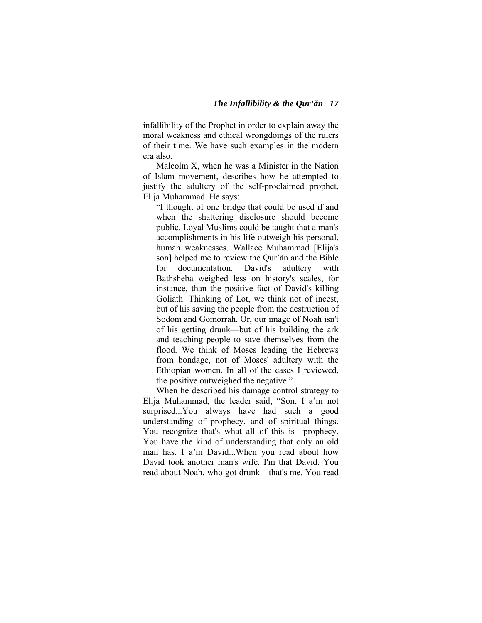infallibility of the Prophet in order to explain away the moral weakness and ethical wrongdoings of the rulers of their time. We have such examples in the modern era also.

 Malcolm X, when he was a Minister in the Nation of Islam movement, describes how he attempted to justify the adultery of the self-proclaimed prophet, Elija Muhammad. He says:

"I thought of one bridge that could be used if and when the shattering disclosure should become public. Loyal Muslims could be taught that a man's accomplishments in his life outweigh his personal, human weaknesses. Wallace Muhammad [Elija's son] helped me to review the Qur'ãn and the Bible for documentation. David's adultery with Bathsheba weighed less on history's scales, for instance, than the positive fact of David's killing Goliath. Thinking of Lot, we think not of incest, but of his saving the people from the destruction of Sodom and Gomorrah. Or, our image of Noah isn't of his getting drunk—but of his building the ark and teaching people to save themselves from the flood. We think of Moses leading the Hebrews from bondage, not of Moses' adultery with the Ethiopian women. In all of the cases I reviewed, the positive outweighed the negative."

 When he described his damage control strategy to Elija Muhammad, the leader said, "Son, I a'm not surprised...You always have had such a good understanding of prophecy, and of spiritual things. You recognize that's what all of this is—prophecy. You have the kind of understanding that only an old man has. I a'm David...When you read about how David took another man's wife. I'm that David. You read about Noah, who got drunk—that's me. You read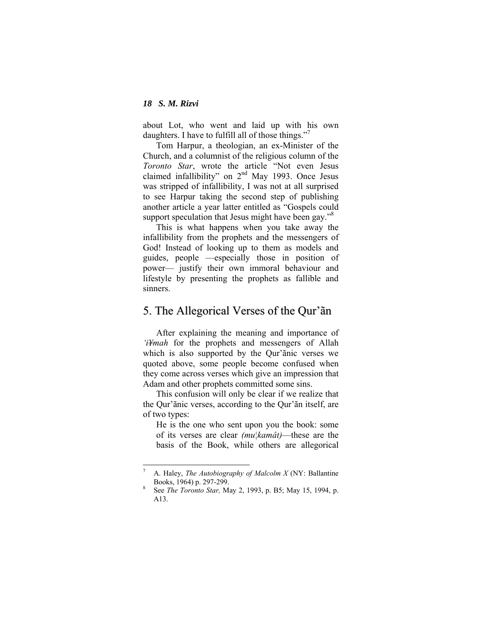$\overline{a}$ 

about Lot, who went and laid up with his own daughters. I have to fulfill all of those things."

 Tom Harpur, a theologian, an ex-Minister of the Church, and a columnist of the religious column of the *Toronto Star*, wrote the article "Not even Jesus claimed infallibility" on  $2<sup>nd</sup>$  May 1993. Once Jesus was stripped of infallibility, I was not at all surprised to see Harpur taking the second step of publishing another article a year latter entitled as "Gospels could support speculation that Jesus might have been gay."<sup>8</sup>

 This is what happens when you take away the infallibility from the prophets and the messengers of God! Instead of looking up to them as models and guides, people —especially those in position of power— justify their own immoral behaviour and lifestyle by presenting the prophets as fallible and sinners.

## 5. The Allegorical Verses of the Qur'ãn

 After explaining the meaning and importance of *'i¥mah* for the prophets and messengers of Allah which is also supported by the Qur'ãnic verses we quoted above, some people become confused when they come across verses which give an impression that Adam and other prophets committed some sins.

 This confusion will only be clear if we realize that the Qur'ãnic verses, according to the Qur'ãn itself, are of two types:

He is the one who sent upon you the book: some of its verses are clear *(mu¦kamât)*—these are the basis of the Book, while others are allegorical

<sup>7</sup> A. Haley, *The Autobiography of Malcolm X* (NY: Ballantine Books, 1964) p. 297-299.

See *The Toronto Star,* May 2, 1993, p. B5; May 15, 1994, p. A13.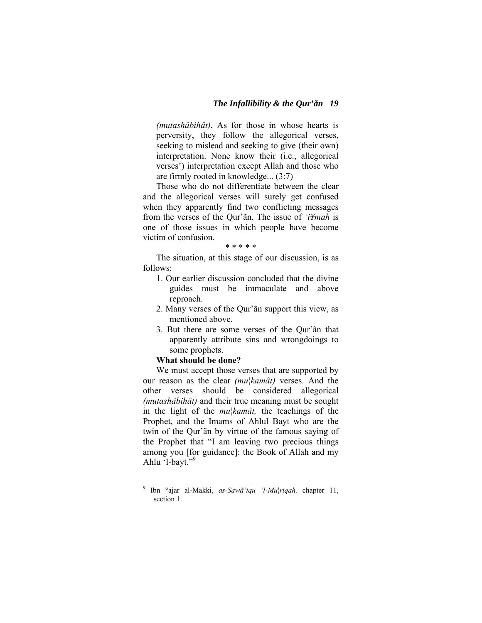*(mutashâbihât)*. As for those in whose hearts is perversity, they follow the allegorical verses, seeking to mislead and seeking to give (their own) interpretation. None know their (i.e., allegorical verses') interpretation except Allah and those who are firmly rooted in knowledge... (3:7)

 Those who do not differentiate between the clear and the allegorical verses will surely get confused when they apparently find two conflicting messages from the verses of the Qur'ãn. The issue of *'i¥mah* is one of those issues in which people have become victim of confusion.

\* \* \* \* \*

 The situation, at this stage of our discussion, is as follows:

- 1. Our earlier discussion concluded that the divine guides must be immaculate and above reproach.
- 2. Many verses of the Qur'ãn support this view, as mentioned above.
- 3. But there are some verses of the Qur'ãn that apparently attribute sins and wrongdoings to some prophets.

#### **What should be done?**

 $\overline{a}$ 

 We must accept those verses that are supported by our reason as the clear *(mu¦kamât)* verses. And the other verses should be considered allegorical *(mutashâbihât)* and their true meaning must be sought in the light of the *mu¦kamât,* the teachings of the Prophet, and the Imams of Ahlul Bayt who are the twin of the Qur'ãn by virtue of the famous saying of the Prophet that "I am leaving two precious things among you [for guidance]: the Book of Allah and my Ahlu 'l-bayt."9

<sup>9</sup> Ibn °ajar al-Makki, *as-Sawã'iqu 'l-Mu¦riqah,* chapter 11, section 1.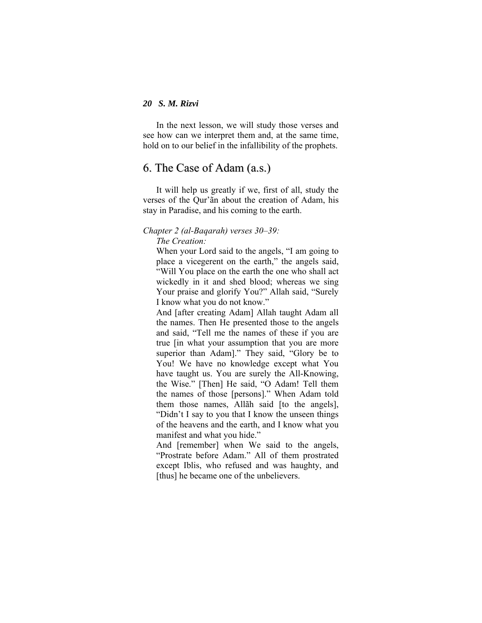In the next lesson, we will study those verses and see how can we interpret them and, at the same time, hold on to our belief in the infallibility of the prophets.

## 6. The Case of Adam (a.s.)

 It will help us greatly if we, first of all, study the verses of the Qur'ãn about the creation of Adam, his stay in Paradise, and his coming to the earth.

#### *Chapter 2 (al-Baqarah) verses 30–39:*

#### *The Creation:*

When your Lord said to the angels, "I am going to place a vicegerent on the earth," the angels said, "Will You place on the earth the one who shall act wickedly in it and shed blood; whereas we sing Your praise and glorify You?" Allah said, "Surely I know what you do not know."

And [after creating Adam] Allah taught Adam all the names. Then He presented those to the angels and said, "Tell me the names of these if you are true [in what your assumption that you are more superior than Adam]." They said, "Glory be to You! We have no knowledge except what You have taught us. You are surely the All-Knowing, the Wise." [Then] He said, "O Adam! Tell them the names of those [persons]." When Adam told them those names, Allãh said [to the angels], "Didn't I say to you that I know the unseen things of the heavens and the earth, and I know what you manifest and what you hide."

And [remember] when We said to the angels, "Prostrate before Adam." All of them prostrated except Iblis, who refused and was haughty, and [thus] he became one of the unbelievers.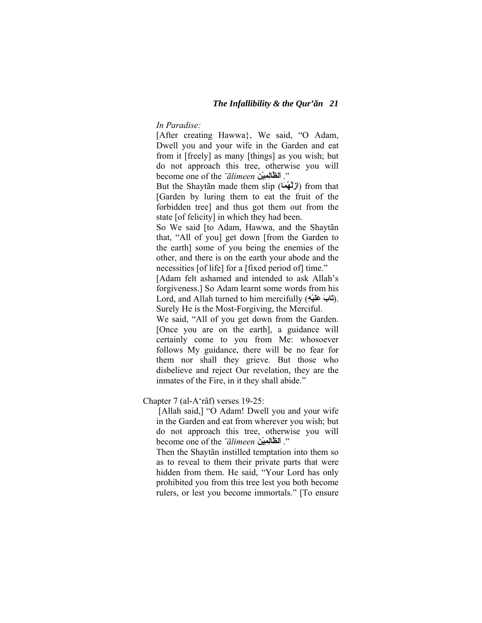#### *In Paradise:*

[After creating Hawwa}, We said, "O Adam, Dwell you and your wife in the Garden and eat from it [freely] as many [things] as you wish; but do not approach this tree, otherwise you will ". **اَلظَّالِمِيْنَ** *ãlimeen ¨*the of one become

But the Shaytãn made them slip (**اَمُلَّهَزَا** (from that [Garden by luring them to eat the fruit of the forbidden tree] and thus got them out from the state [of felicity] in which they had been.

So We said [to Adam, Hawwa, and the Shaytãn that, "All of you] get down [from the Garden to the earth] some of you being the enemies of the other, and there is on the earth your abode and the necessities [of life] for a [fixed period of] time."

[Adam felt ashamed and intended to ask Allah's forgiveness.] So Adam learnt some words from his Lord, and Allah turned to him mercifully (**ِهْيَلَع َابَت**(. Surely He is the Most-Forgiving, the Merciful.

We said, "All of you get down from the Garden. [Once you are on the earth], a guidance will certainly come to you from Me: whosoever follows My guidance, there will be no fear for them nor shall they grieve. But those who disbelieve and reject Our revelation, they are the inmates of the Fire, in it they shall abide."

#### Chapter 7 (al-A'râf) verses 19-25:

 [Allah said,] "O Adam! Dwell you and your wife in the Garden and eat from wherever you wish; but do not approach this tree, otherwise you will ". **اَلظَّالِمِيْنَ** *ãlimeen ¨*the of one become

Then the Shaytãn instilled temptation into them so as to reveal to them their private parts that were hidden from them. He said, "Your Lord has only prohibited you from this tree lest you both become rulers, or lest you become immortals." [To ensure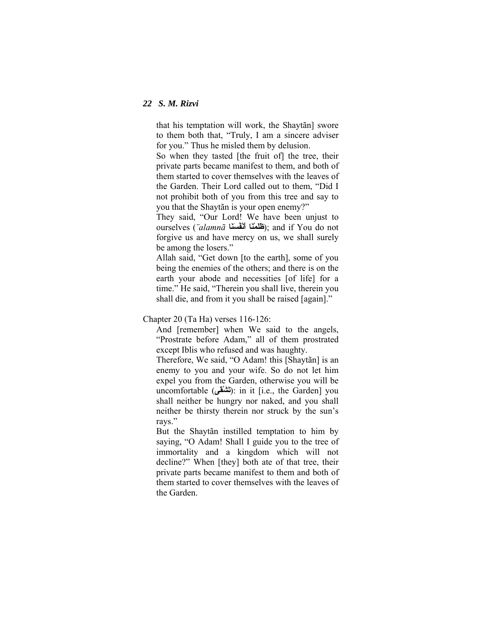that his temptation will work, the Shaytãn] swore to them both that, "Truly, I am a sincere adviser for you." Thus he misled them by delusion.

So when they tasted [the fruit of] the tree, their private parts became manifest to them, and both of them started to cover themselves with the leaves of the Garden. Their Lord called out to them, "Did I not prohibit both of you from this tree and say to you that the Shaytãn is your open enemy?"

They said, "Our Lord! We have been unjust to not do You if and); **ظَلَمْنَا أَنْفُسَنَا** *alamnã* (*¨*ourselves forgive us and have mercy on us, we shall surely be among the losers."

Allah said, "Get down [to the earth], some of you being the enemies of the others; and there is on the earth your abode and necessities [of life] for a time." He said, "Therein you shall live, therein you shall die, and from it you shall be raised [again]."

Chapter 20 (Ta Ha) verses 116-126:

And [remember] when We said to the angels, "Prostrate before Adam," all of them prostrated except Iblis who refused and was haughty.

Therefore, We said, "O Adam! this [Shaytãn] is an enemy to you and your wife. So do not let him expel you from the Garden, otherwise you will be uncomfortable (**تَشْنَقَى**): in it [i.e., the Garden] you shall neither be hungry nor naked, and you shall neither be thirsty therein nor struck by the sun's rays."

But the Shaytãn instilled temptation to him by saying, "O Adam! Shall I guide you to the tree of immortality and a kingdom which will not decline?" When [they] both ate of that tree, their private parts became manifest to them and both of them started to cover themselves with the leaves of the Garden.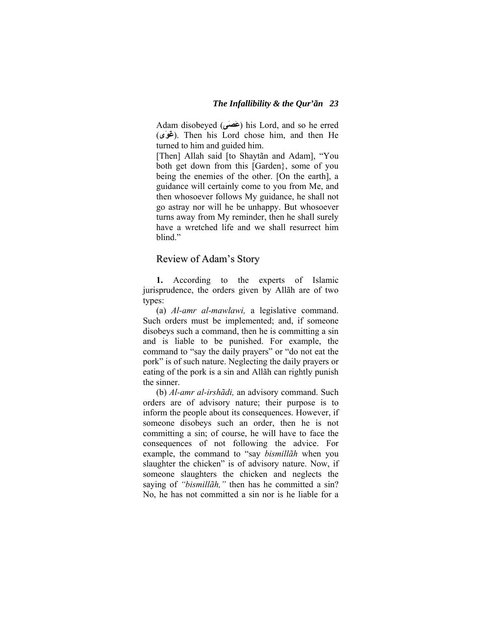Adam disobeyed (**ىَصَع** (his Lord, and so he erred (**ىَوَغ**(. Then his Lord chose him, and then He turned to him and guided him.

[Then] Allah said [to Shaytãn and Adam], "You both get down from this [Garden}, some of you being the enemies of the other. [On the earth], a guidance will certainly come to you from Me, and then whosoever follows My guidance, he shall not go astray nor will he be unhappy. But whosoever turns away from My reminder, then he shall surely have a wretched life and we shall resurrect him blind."

#### Review of Adam's Story

**1.** According to the experts of Islamic jurisprudence, the orders given by Allãh are of two types:

 (a) *Al-amr al-mawlawi,* a legislative command. Such orders must be implemented; and, if someone disobeys such a command, then he is committing a sin and is liable to be punished. For example, the command to "say the daily prayers" or "do not eat the pork" is of such nature. Neglecting the daily prayers or eating of the pork is a sin and Allãh can rightly punish the sinner.

 (b) *Al-amr al-irshãdi,* an advisory command. Such orders are of advisory nature; their purpose is to inform the people about its consequences. However, if someone disobeys such an order, then he is not committing a sin; of course, he will have to face the consequences of not following the advice. For example, the command to "say *bismillãh* when you slaughter the chicken" is of advisory nature. Now, if someone slaughters the chicken and neglects the saying of *"bismillãh,"* then has he committed a sin? No, he has not committed a sin nor is he liable for a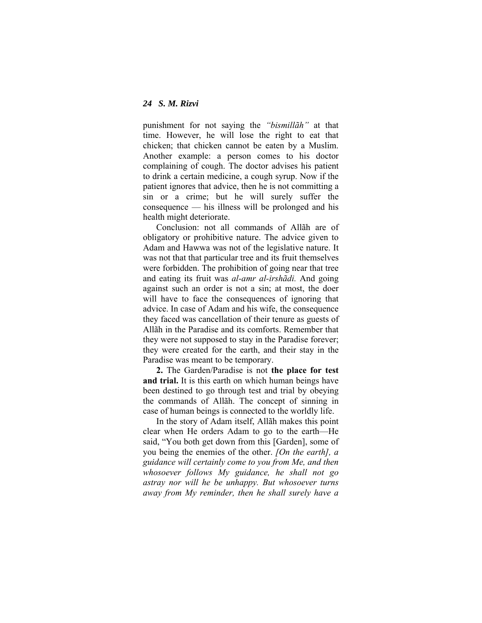punishment for not saying the *"bismillãh"* at that time. However, he will lose the right to eat that chicken; that chicken cannot be eaten by a Muslim. Another example: a person comes to his doctor complaining of cough. The doctor advises his patient to drink a certain medicine, a cough syrup. Now if the patient ignores that advice, then he is not committing a sin or a crime; but he will surely suffer the consequence — his illness will be prolonged and his health might deteriorate.

 Conclusion: not all commands of Allãh are of obligatory or prohibitive nature. The advice given to Adam and Hawwa was not of the legislative nature. It was not that that particular tree and its fruit themselves were forbidden. The prohibition of going near that tree and eating its fruit was *al-amr al-irshãdi.* And going against such an order is not a sin; at most, the doer will have to face the consequences of ignoring that advice. In case of Adam and his wife, the consequence they faced was cancellation of their tenure as guests of Allãh in the Paradise and its comforts. Remember that they were not supposed to stay in the Paradise forever; they were created for the earth, and their stay in the Paradise was meant to be temporary.

**2.** The Garden/Paradise is not **the place for test and trial.** It is this earth on which human beings have been destined to go through test and trial by obeying the commands of Allãh. The concept of sinning in case of human beings is connected to the worldly life.

 In the story of Adam itself, Allãh makes this point clear when He orders Adam to go to the earth—He said, "You both get down from this [Garden], some of you being the enemies of the other. *[On the earth], a guidance will certainly come to you from Me, and then whosoever follows My guidance, he shall not go astray nor will he be unhappy. But whosoever turns away from My reminder, then he shall surely have a*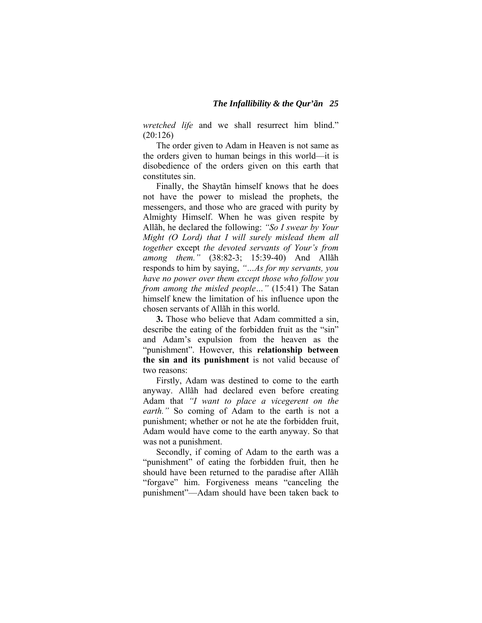*wretched life* and we shall resurrect him blind." (20:126)

 The order given to Adam in Heaven is not same as the orders given to human beings in this world—it is disobedience of the orders given on this earth that constitutes sin.

 Finally, the Shaytãn himself knows that he does not have the power to mislead the prophets, the messengers, and those who are graced with purity by Almighty Himself. When he was given respite by Allãh, he declared the following: *"So I swear by Your Might (O Lord) that I will surely mislead them all together* except *the devoted servants of Your's from among them."* (38:82-3; 15:39-40) And Allãh responds to him by saying, *"…As for my servants, you have no power over them except those who follow you from among the misled people…"* (15:41) The Satan himself knew the limitation of his influence upon the chosen servants of Allãh in this world.

**3.** Those who believe that Adam committed a sin, describe the eating of the forbidden fruit as the "sin" and Adam's expulsion from the heaven as the "punishment". However, this **relationship between the sin and its punishment** is not valid because of two reasons:

 Firstly, Adam was destined to come to the earth anyway. Allãh had declared even before creating Adam that *"I want to place a vicegerent on the*  earth." So coming of Adam to the earth is not a punishment; whether or not he ate the forbidden fruit, Adam would have come to the earth anyway. So that was not a punishment.

 Secondly, if coming of Adam to the earth was a "punishment" of eating the forbidden fruit, then he should have been returned to the paradise after Allãh "forgave" him. Forgiveness means "canceling the punishment"—Adam should have been taken back to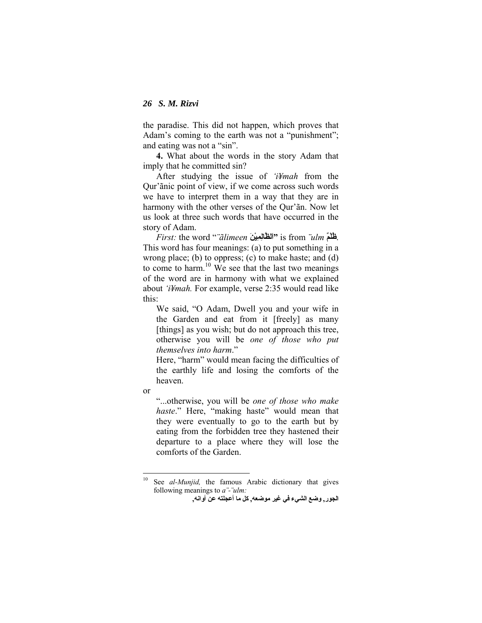the paradise. This did not happen, which proves that Adam's coming to the earth was not a "punishment"; and eating was not a "sin".

**4.** What about the words in the story Adam that imply that he committed sin?

 After studying the issue of *'i¥mah* from the Qur'ãnic point of view, if we come across such words we have to interpret them in a way that they are in harmony with the other verses of the Qur'ãn. Now let us look at three such words that have occurred in the story of Adam.

**ظُلْمٌ** . *ulm ¨*from is**" اَلظَّالِمِيْنَ** *ãlimeen* "*¨*word the *:First* This word has four meanings: (a) to put something in a wrong place; (b) to oppress; (c) to make haste; and (d) to come to harm.<sup>10</sup> We see that the last two meanings of the word are in harmony with what we explained about *'i¥mah.* For example, verse 2:35 would read like this:

We said, "O Adam, Dwell you and your wife in the Garden and eat from it [freely] as many [things] as you wish; but do not approach this tree, otherwise you will be *one of those who put themselves into harm*."

Here, "harm" would mean facing the difficulties of the earthly life and losing the comforts of the heaven.

or

"...otherwise, you will be *one of those who make haste*." Here, "making haste" would mean that they were eventually to go to the earth but by eating from the forbidden tree they hastened their departure to a place where they will lose the comforts of the Garden.

**الجور, وضع الشيء في غير موضعه, آل ما أعجلته عن أوانه ,** 

<sup>10</sup> See *al-Munjid*, the famous Arabic dictionary that gives following meanings to *a¨-¨ulm:*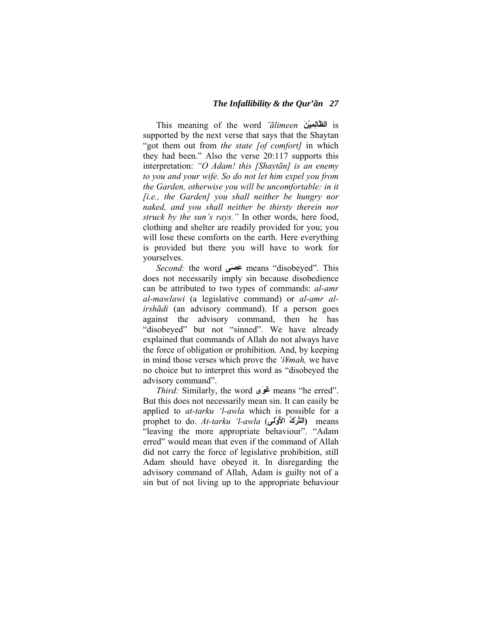This meaning of the word *¨ãlimeen* **َنْيِمِلظَّالَا** is supported by the next verse that says that the Shaytan "got them out from *the state [of comfort]* in which they had been." Also the verse 20:117 supports this interpretation: *"O Adam! this [Shaytãn] is an enemy to you and your wife. So do not let him expel you from the Garden, otherwise you will be uncomfortable: in it [i.e., the Garden] you shall neither be hungry nor naked, and you shall neither be thirsty therein nor struck by the sun's rays."* In other words, here food, clothing and shelter are readily provided for you; you will lose these comforts on the earth. Here everything is provided but there you will have to work for yourselves.

*Second:* the word **ىَصَع** means "disobeyed". This does not necessarily imply sin because disobedience can be attributed to two types of commands: *al-amr al-mawlawi* (a legislative command) or *al-amr alirshãdi* (an advisory command). If a person goes against the advisory command, then he has "disobeyed" but not "sinned". We have already explained that commands of Allah do not always have the force of obligation or prohibition. And, by keeping in mind those verses which prove the *'i¥mah,* we have no choice but to interpret this word as "disobeyed the advisory command".

*Third:* Similarly, the word غَوَى means "he erred". But this does not necessarily mean sin. It can easily be applied to *at-tarku 'l-awla* which is possible for a prophet to do. *At-tarku 'l-awla* ( means **لىْوُالأ ُكْلتَّرَا(** "leaving the more appropriate behaviour". "Adam erred" would mean that even if the command of Allah did not carry the force of legislative prohibition, still Adam should have obeyed it. In disregarding the advisory command of Allah, Adam is guilty not of a sin but of not living up to the appropriate behaviour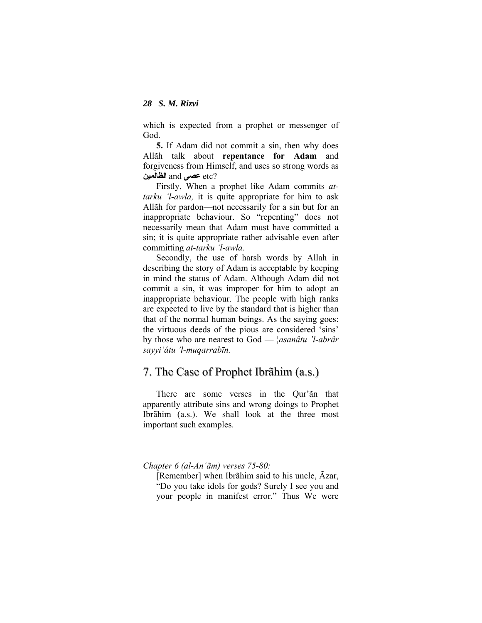which is expected from a prophet or messenger of God.

**5.** If Adam did not commit a sin, then why does Allãh talk about **repentance for Adam** and forgiveness from Himself, and uses so strong words as ?etc **عصى** and **الظالمين**

 Firstly, When a prophet like Adam commits *attarku 'l-awla,* it is quite appropriate for him to ask Allãh for pardon—not necessarily for a sin but for an inappropriate behaviour. So "repenting" does not necessarily mean that Adam must have committed a sin; it is quite appropriate rather advisable even after committing *at-tarku 'l-awla.*

 Secondly, the use of harsh words by Allah in describing the story of Adam is acceptable by keeping in mind the status of Adam. Although Adam did not commit a sin, it was improper for him to adopt an inappropriate behaviour. The people with high ranks are expected to live by the standard that is higher than that of the normal human beings. As the saying goes: the virtuous deeds of the pious are considered 'sins' by those who are nearest to God — *¦asanâtu 'l-abrâr sayyi'âtu 'l-muqarrabīn.* 

## 7. The Case of Prophet Ibrãhim (a.s.)

 There are some verses in the Qur'ãn that apparently attribute sins and wrong doings to Prophet Ibrãhim (a.s.). We shall look at the three most important such examples.

#### *Chapter 6 (al-An'ãm) verses 75-80:*

[Remember] when Ibrãhim said to his uncle, Ãzar, "Do you take idols for gods? Surely I see you and your people in manifest error." Thus We were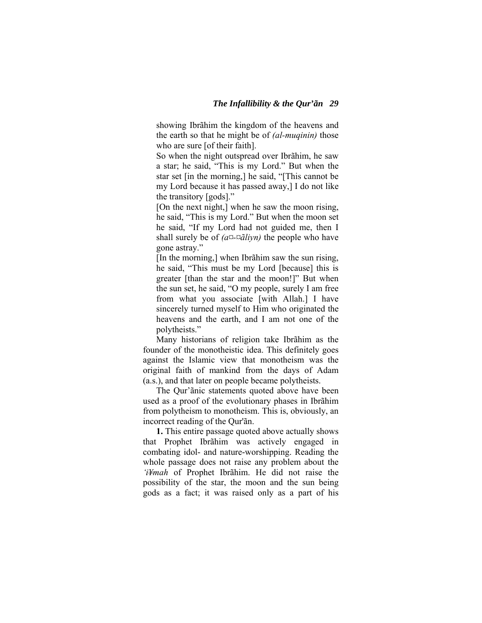showing Ibrãhim the kingdom of the heavens and the earth so that he might be of *(al-muqinin)* those who are sure [of their faith].

So when the night outspread over Ibrãhim, he saw a star; he said, "This is my Lord." But when the star set [in the morning,] he said, "[This cannot be my Lord because it has passed away,] I do not like the transitory [gods]."

[On the next night,] when he saw the moon rising, he said, "This is my Lord." But when the moon set he said, "If my Lord had not guided me, then I shall surely be of *(a¤-¤ãliyn)* the people who have gone astray."

[In the morning,] when Ibrãhim saw the sun rising, he said, "This must be my Lord [because] this is greater [than the star and the moon!]" But when the sun set, he said, "O my people, surely I am free from what you associate [with Allah.] I have sincerely turned myself to Him who originated the heavens and the earth, and I am not one of the polytheists."

 Many historians of religion take Ibrãhim as the founder of the monotheistic idea. This definitely goes against the Islamic view that monotheism was the original faith of mankind from the days of Adam (a.s.), and that later on people became polytheists.

 The Qur'ãnic statements quoted above have been used as a proof of the evolutionary phases in Ibrãhim from polytheism to monotheism. This is, obviously, an incorrect reading of the Qur'ãn.

**1.** This entire passage quoted above actually shows that Prophet Ibrãhim was actively engaged in combating idol- and nature-worshipping. Reading the whole passage does not raise any problem about the *'i¥mah* of Prophet Ibrãhim. He did not raise the possibility of the star, the moon and the sun being gods as a fact; it was raised only as a part of his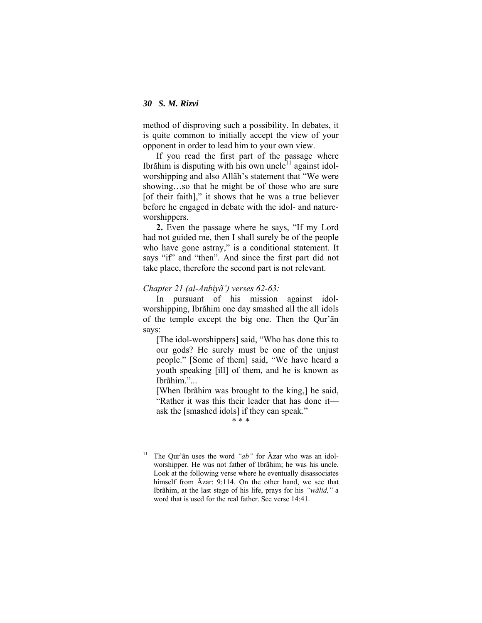method of disproving such a possibility. In debates, it is quite common to initially accept the view of your opponent in order to lead him to your own view.

 If you read the first part of the passage where Ibrãhim is disputing with his own uncle $^{11}$  against idolworshipping and also Allãh's statement that "We were showing…so that he might be of those who are sure [of their faith]," it shows that he was a true believer before he engaged in debate with the idol- and natureworshippers.

**2.** Even the passage where he says, "If my Lord had not guided me, then I shall surely be of the people who have gone astray," is a conditional statement. It says "if" and "then". And since the first part did not take place, therefore the second part is not relevant.

#### *Chapter 21 (al-Anbiyã') verses 62-63:*

 In pursuant of his mission against idolworshipping, Ibrãhim one day smashed all the all idols of the temple except the big one. Then the Qur'ãn says:

[The idol-worshippers] said, "Who has done this to our gods? He surely must be one of the unjust people." [Some of them] said, "We have heard a youth speaking [ill] of them, and he is known as Ibrãhim."...

[When Ibrãhim was brought to the king,] he said, "Rather it was this their leader that has done it ask the [smashed idols] if they can speak."

\* \* \*

 $11$ 11 The Qur'ãn uses the word *"ab"* for Ãzar who was an idolworshipper. He was not father of Ibrãhim; he was his uncle. Look at the following verse where he eventually disassociates himself from  $\tilde{A}$ zar: 9:114. On the other hand, we see that Ibrãhim, at the last stage of his life, prays for his *"wãlid,"* a word that is used for the real father. See verse 14:41.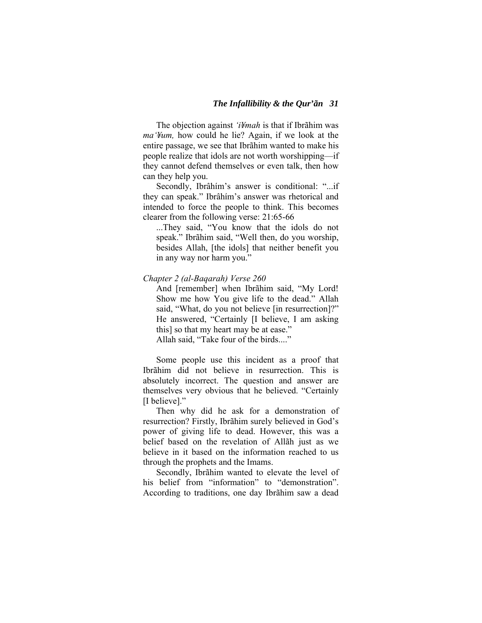The objection against *'i¥mah* is that if Ibrãhim was *ma'¥um,* how could he lie? Again, if we look at the entire passage, we see that Ibrãhim wanted to make his people realize that idols are not worth worshipping—if they cannot defend themselves or even talk, then how can they help you.

 Secondly, Ibrâhím's answer is conditional: "...if they can speak." Ibrâhím's answer was rhetorical and intended to force the people to think. This becomes clearer from the following verse: 21:65-66

...They said, "You know that the idols do not speak." Ibrãhim said, "Well then, do you worship, besides Allah, [the idols] that neither benefit you in any way nor harm you."

#### *Chapter 2 (al-Baqarah) Verse 260*

And [remember] when Ibrãhim said, "My Lord! Show me how You give life to the dead." Allah said, "What, do you not believe [in resurrection]?" He answered, "Certainly [I believe, I am asking this] so that my heart may be at ease." Allah said, "Take four of the birds...."

 Some people use this incident as a proof that Ibrãhim did not believe in resurrection. This is absolutely incorrect. The question and answer are themselves very obvious that he believed. "Certainly [I believe]."

 Then why did he ask for a demonstration of resurrection? Firstly, Ibrãhim surely believed in God's power of giving life to dead. However, this was a belief based on the revelation of Allãh just as we believe in it based on the information reached to us through the prophets and the Imams.

 Secondly, Ibrãhim wanted to elevate the level of his belief from "information" to "demonstration". According to traditions, one day Ibrãhim saw a dead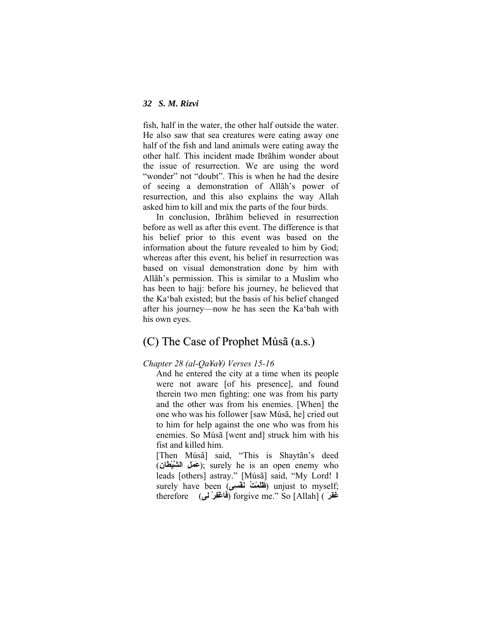fish, half in the water, the other half outside the water. He also saw that sea creatures were eating away one half of the fish and land animals were eating away the other half. This incident made Ibrãhim wonder about the issue of resurrection. We are using the word "wonder" not "doubt". This is when he had the desire of seeing a demonstration of Allãh's power of resurrection, and this also explains the way Allah asked him to kill and mix the parts of the four birds.

 In conclusion, Ibrãhim believed in resurrection before as well as after this event. The difference is that his belief prior to this event was based on the information about the future revealed to him by God; whereas after this event, his belief in resurrection was based on visual demonstration done by him with Allãh's permission. This is similar to a Muslim who has been to hajj: before his journey, he believed that the Ka'bah existed; but the basis of his belief changed after his journey—now he has seen the Ka'bah with his own eyes.

## (C) The Case of Prophet Músã (a.s.)

#### *Chapter 28 (al-Qa¥a¥) Verses 15-16*

And he entered the city at a time when its people were not aware [of his presence], and found therein two men fighting: one was from his party and the other was from his enemies. [When] the one who was his follower [saw Músã, he] cried out to him for help against the one who was from his enemies. So Músã [went and] struck him with his fist and killed him.

[Then Músã] said, "This is Shaytãn's deed (ِ**انَطْالشَّي ِلَمَع** ;(surely he is an open enemy who leads [others] astray." [Músã] said, "My Lord! I surely have been (خَلَلْمُتُ نَفْسِى) unjust to myself; **غَفَرَ** ) [Allah [So" .me forgive) **فَاغْفِرْ لِى**) therefore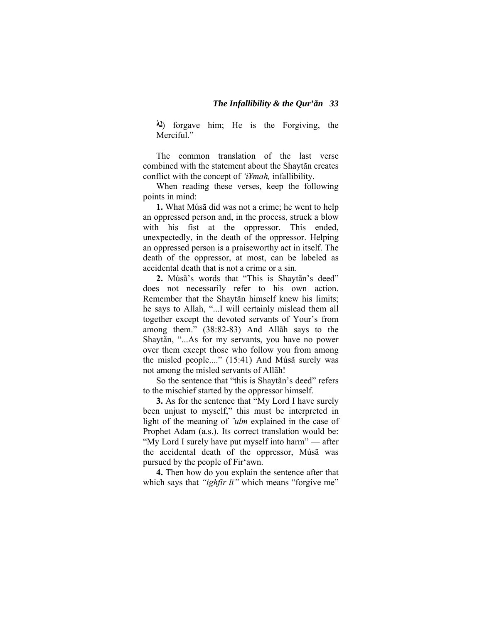**ُهَل** (forgave him; He is the Forgiving, the Merciful."

 The common translation of the last verse combined with the statement about the Shaytãn creates conflict with the concept of *'i¥mah,* infallibility.

 When reading these verses, keep the following points in mind:

**1.** What Músã did was not a crime; he went to help an oppressed person and, in the process, struck a blow with his fist at the oppressor. This ended, unexpectedly, in the death of the oppressor. Helping an oppressed person is a praiseworthy act in itself. The death of the oppressor, at most, can be labeled as accidental death that is not a crime or a sin.

**2.** Músã's words that "This is Shaytãn's deed" does not necessarily refer to his own action. Remember that the Shaytãn himself knew his limits; he says to Allah, "...I will certainly mislead them all together except the devoted servants of Your's from among them." (38:82-83) And Allãh says to the Shaytãn, "...As for my servants, you have no power over them except those who follow you from among the misled people...." (15:41) And Músã surely was not among the misled servants of Allãh!

 So the sentence that "this is Shaytãn's deed" refers to the mischief started by the oppressor himself.

**3.** As for the sentence that "My Lord I have surely been unjust to myself," this must be interpreted in light of the meaning of *¨ulm* explained in the case of Prophet Adam (a.s.). Its correct translation would be: "My Lord I surely have put myself into harm" — after the accidental death of the oppressor, Músã was pursued by the people of Fir'awn.

**4.** Then how do you explain the sentence after that which says that *"ighfir lī*" which means "forgive me"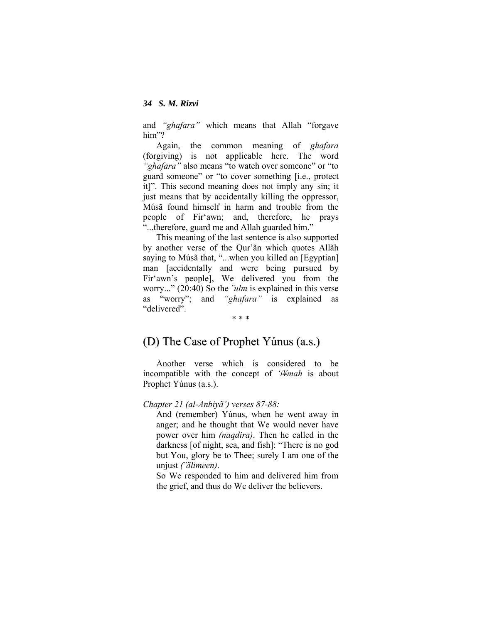and *"ghafara"* which means that Allah "forgave him"?

 Again, the common meaning of *ghafara* (forgiving) is not applicable here. The word *"ghafara"* also means "to watch over someone" or "to guard someone" or "to cover something [i.e., protect it]". This second meaning does not imply any sin; it just means that by accidentally killing the oppressor, Músã found himself in harm and trouble from the people of Fir'awn; and, therefore, he prays "...therefore, guard me and Allah guarded him."

 This meaning of the last sentence is also supported by another verse of the Qur'ãn which quotes Allãh saying to Músã that, "...when you killed an [Egyptian] man [accidentally and were being pursued by Fir'awn's people], We delivered you from the worry..." (20:40) So the *¨ulm* is explained in this verse as "worry"; and *"ghafara"* is explained as "delivered".

#### \* \* \*

## (D) The Case of Prophet Yúnus (a.s.)

 Another verse which is considered to be incompatible with the concept of *'i¥mah* is about Prophet Yúnus (a.s.).

#### *Chapter 21 (al-Anbiyã') verses 87-88:*

And (remember) Yúnus, when he went away in anger; and he thought that We would never have power over him *(naqdira)*. Then he called in the darkness [of night, sea, and fish]: "There is no god but You, glory be to Thee; surely I am one of the unjust *(¨ãlimeen)*.

So We responded to him and delivered him from the grief, and thus do We deliver the believers.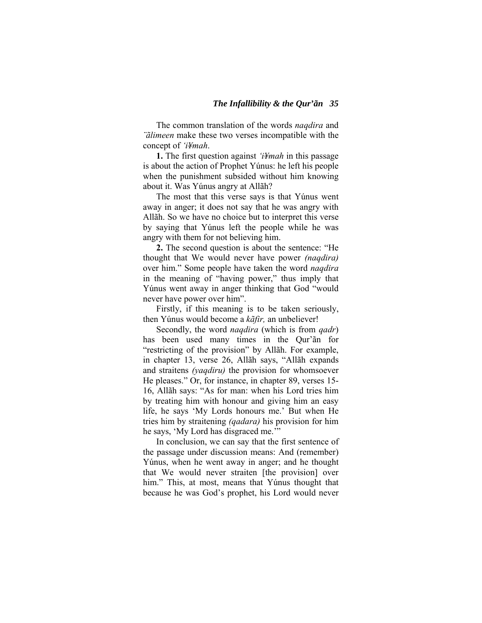The common translation of the words *naqdira* and *¨ãlimeen* make these two verses incompatible with the concept of *'i¥mah*.

**1.** The first question against *'i¥mah* in this passage is about the action of Prophet Yúnus: he left his people when the punishment subsided without him knowing about it. Was Yúnus angry at Allãh?

 The most that this verse says is that Yúnus went away in anger; it does not say that he was angry with Allãh. So we have no choice but to interpret this verse by saying that Yúnus left the people while he was angry with them for not believing him.

**2.** The second question is about the sentence: "He thought that We would never have power *(naqdira)* over him." Some people have taken the word *naqdira* in the meaning of "having power," thus imply that Yúnus went away in anger thinking that God "would never have power over him".

 Firstly, if this meaning is to be taken seriously, then Yúnus would become a *kãfir,* an unbeliever!

 Secondly, the word *naqdira* (which is from *qadr*) has been used many times in the Qur'ãn for "restricting of the provision" by Allãh. For example, in chapter 13, verse 26, Allãh says, "Allãh expands and straitens *(yaqdiru)* the provision for whomsoever He pleases." Or, for instance, in chapter 89, verses 15- 16, Allãh says: "As for man: when his Lord tries him by treating him with honour and giving him an easy life, he says 'My Lords honours me.' But when He tries him by straitening *(qadara)* his provision for him he says, 'My Lord has disgraced me.'"

 In conclusion, we can say that the first sentence of the passage under discussion means: And (remember) Yúnus, when he went away in anger; and he thought that We would never straiten [the provision] over him." This, at most, means that Yúnus thought that because he was God's prophet, his Lord would never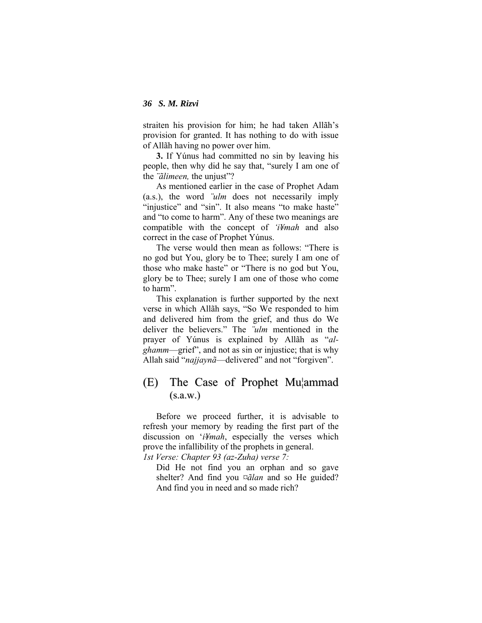straiten his provision for him; he had taken Allãh's provision for granted. It has nothing to do with issue of Allãh having no power over him.

**3.** If Yúnus had committed no sin by leaving his people, then why did he say that, "surely I am one of the *¨ãlimeen,* the unjust"?

 As mentioned earlier in the case of Prophet Adam (a.s.), the word *¨ulm* does not necessarily imply "injustice" and "sin". It also means "to make haste" and "to come to harm". Any of these two meanings are compatible with the concept of *'i¥mah* and also correct in the case of Prophet Yúnus.

 The verse would then mean as follows: "There is no god but You, glory be to Thee; surely I am one of those who make haste" or "There is no god but You, glory be to Thee; surely I am one of those who come to harm".

 This explanation is further supported by the next verse in which Allãh says, "So We responded to him and delivered him from the grief, and thus do We deliver the believers." The *¨ulm* mentioned in the prayer of Yúnus is explained by Allãh as "*alghamm*—grief", and not as sin or injustice; that is why Allah said "*najjaynã*—delivered" and not "forgiven".

## (E) The Case of Prophet Mu¦ammad  $(s.a.w.)$

 Before we proceed further, it is advisable to refresh your memory by reading the first part of the discussion on '*i¥mah*, especially the verses which prove the infallibility of the prophets in general.

*1st Verse: Chapter 93 (az-Zuha) verse 7:*

Did He not find you an orphan and so gave shelter? And find you *¤ãlan* and so He guided? And find you in need and so made rich?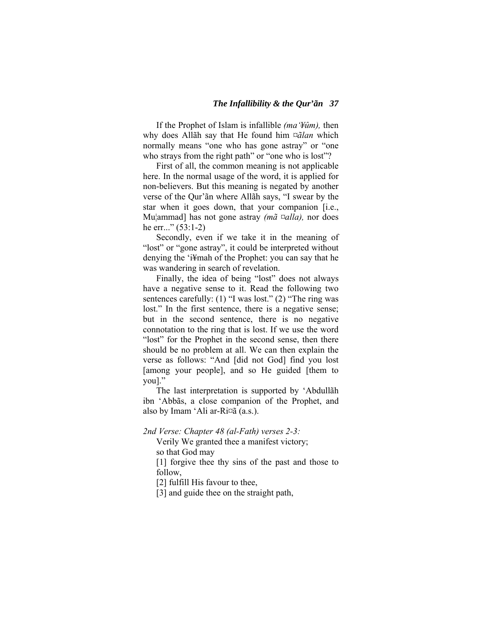If the Prophet of Islam is infallible *(ma'¥ûm),* then why does Allãh say that He found him *¤ãlan* which normally means "one who has gone astray" or "one who strays from the right path" or "one who is lost"?

 First of all, the common meaning is not applicable here. In the normal usage of the word, it is applied for non-believers. But this meaning is negated by another verse of the Qur'ãn where Allãh says, "I swear by the star when it goes down, that your companion [i.e., Mu¦ammad] has not gone astray *(mã ¤alla),* nor does he err..." (53:1-2)

 Secondly, even if we take it in the meaning of "lost" or "gone astray", it could be interpreted without denying the 'i¥mah of the Prophet: you can say that he was wandering in search of revelation.

 Finally, the idea of being "lost" does not always have a negative sense to it. Read the following two sentences carefully: (1) "I was lost." (2) "The ring was lost." In the first sentence, there is a negative sense; but in the second sentence, there is no negative connotation to the ring that is lost. If we use the word "lost" for the Prophet in the second sense, then there should be no problem at all. We can then explain the verse as follows: "And [did not God] find you lost [among your people], and so He guided [them to you]."

 The last interpretation is supported by 'Abdullãh ibn 'Abbãs, a close companion of the Prophet, and also by Imam 'Ali ar-Ri¤ã (a.s.).

*2nd Verse: Chapter 48 (al-Fath) verses 2-3:*

Verily We granted thee a manifest victory; so that God may

[1] forgive thee thy sins of the past and those to follow,

[2] fulfill His favour to thee,

[3] and guide thee on the straight path,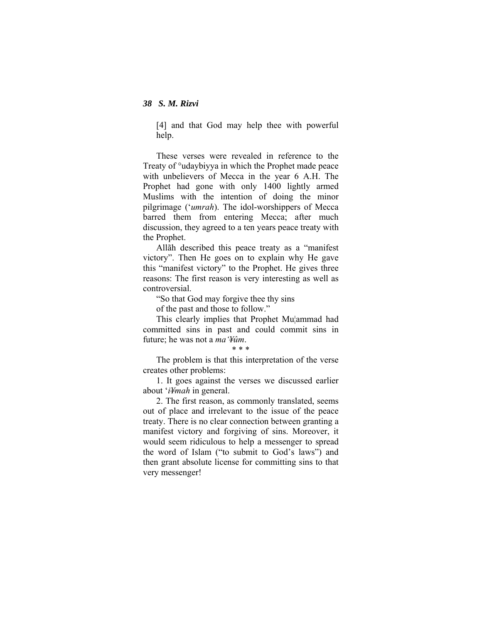[4] and that God may help thee with powerful help.

 These verses were revealed in reference to the Treaty of °udaybiyya in which the Prophet made peace with unbelievers of Mecca in the year 6 A.H. The Prophet had gone with only 1400 lightly armed Muslims with the intention of doing the minor pilgrimage ('*umrah*). The idol-worshippers of Mecca barred them from entering Mecca; after much discussion, they agreed to a ten years peace treaty with the Prophet.

 Allãh described this peace treaty as a "manifest victory". Then He goes on to explain why He gave this "manifest victory" to the Prophet. He gives three reasons: The first reason is very interesting as well as controversial.

"So that God may forgive thee thy sins

of the past and those to follow."

 This clearly implies that Prophet Mu¦ammad had committed sins in past and could commit sins in future; he was not a *ma'¥ûm*.

#### \* \* \*

 The problem is that this interpretation of the verse creates other problems:

 1. It goes against the verses we discussed earlier about '*i¥mah* in general.

 2. The first reason, as commonly translated, seems out of place and irrelevant to the issue of the peace treaty. There is no clear connection between granting a manifest victory and forgiving of sins. Moreover, it would seem ridiculous to help a messenger to spread the word of Islam ("to submit to God's laws") and then grant absolute license for committing sins to that very messenger!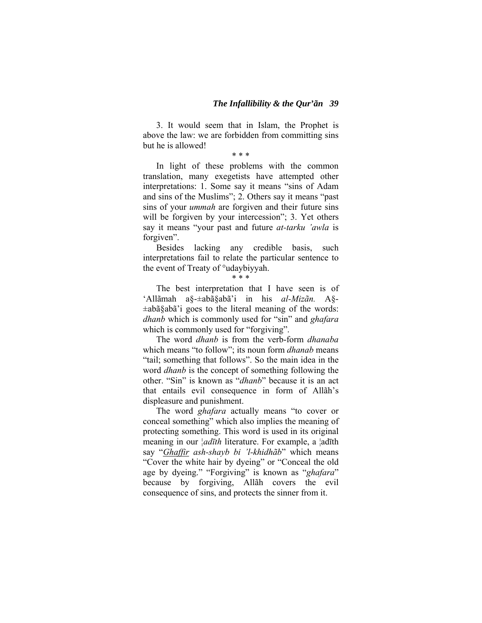3. It would seem that in Islam, the Prophet is above the law: we are forbidden from committing sins but he is allowed!

#### \* \* \*

 In light of these problems with the common translation, many exegetists have attempted other interpretations: 1. Some say it means "sins of Adam and sins of the Muslims"; 2. Others say it means "past sins of your *ummah* are forgiven and their future sins will be forgiven by your intercession"; 3. Yet others say it means "your past and future *at-tarku 'awla* is forgiven".

 Besides lacking any credible basis, such interpretations fail to relate the particular sentence to the event of Treaty of °udaybiyyah.

\* \* \*

 The best interpretation that I have seen is of 'Allãmah a§-±abã§abã'i in his *al-Mizãn.* A§- ±abã§abã'i goes to the literal meaning of the words: *dhanb* which is commonly used for "sin" and *ghafara* which is commonly used for "forgiving".

 The word *dhanb* is from the verb-form *dhanaba* which means "to follow"; its noun form *dhanab* means "tail; something that follows". So the main idea in the word *dhanb* is the concept of something following the other. "Sin" is known as "*dhanb*" because it is an act that entails evil consequence in form of Allãh's displeasure and punishment.

 The word *ghafara* actually means "to cover or conceal something" which also implies the meaning of protecting something. This word is used in its original meaning in our *¦adīth* literature. For example, a ¦adīth say "*Ghaffir ash-shayb bi 'l-khidhãb*" which means "Cover the white hair by dyeing" or "Conceal the old age by dyeing." "Forgiving" is known as "*ghafara*" because by forgiving, Allãh covers the evil consequence of sins, and protects the sinner from it.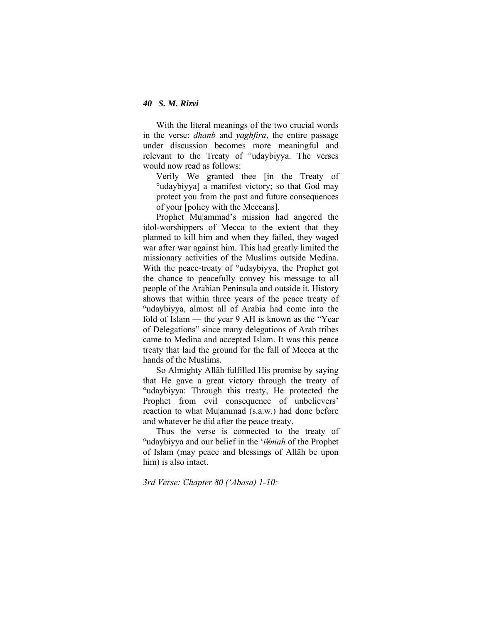With the literal meanings of the two crucial words in the verse: *dhanb* and *yaghfira*, the entire passage under discussion becomes more meaningful and relevant to the Treaty of °udaybiyya. The verses would now read as follows:

Verily We granted thee [in the Treaty of °udaybiyya] a manifest victory; so that God may protect you from the past and future consequences of your [policy with the Meccans].

 Prophet Mu¦ammad's mission had angered the idol-worshippers of Mecca to the extent that they planned to kill him and when they failed, they waged war after war against him. This had greatly limited the missionary activities of the Muslims outside Medina. With the peace-treaty of <sup>o</sup>udaybiyya, the Prophet got the chance to peacefully convey his message to all people of the Arabian Peninsula and outside it. History shows that within three years of the peace treaty of °udaybiyya, almost all of Arabia had come into the fold of Islam — the year 9 AH is known as the "Year of Delegations" since many delegations of Arab tribes came to Medina and accepted Islam. It was this peace treaty that laid the ground for the fall of Mecca at the hands of the Muslims.

 So Almighty Allãh fulfilled His promise by saying that He gave a great victory through the treaty of °udaybiyya: Through this treaty, He protected the Prophet from evil consequence of unbelievers' reaction to what Mu¦ammad (s.a.w.) had done before and whatever he did after the peace treaty.

 Thus the verse is connected to the treaty of °udaybiyya and our belief in the '*i¥mah* of the Prophet of Islam (may peace and blessings of Allãh be upon him) is also intact.

#### *3rd Verse: Chapter 80 ('Abasa) 1-10:*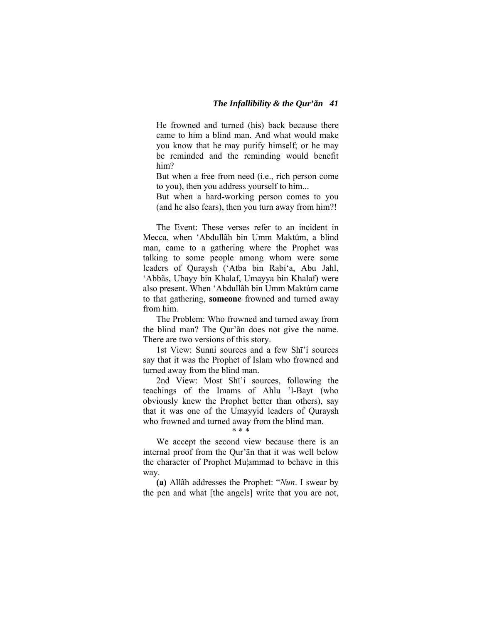He frowned and turned (his) back because there came to him a blind man. And what would make you know that he may purify himself; or he may be reminded and the reminding would benefit him?

But when a free from need (i.e., rich person come to you), then you address yourself to him...

But when a hard-working person comes to you (and he also fears), then you turn away from him?!

 The Event: These verses refer to an incident in Mecca, when 'Abdullãh bin Umm Maktúm, a blind man, came to a gathering where the Prophet was talking to some people among whom were some leaders of Quraysh ('Atba bin Rabí'a, Abu Jahl, 'Abbãs, Ubayy bin Khalaf, Umayya bin Khalaf) were also present. When 'Abdullãh bin Umm Maktúm came to that gathering, **someone** frowned and turned away from him.

 The Problem: Who frowned and turned away from the blind man? The Qur'ãn does not give the name. There are two versions of this story.

 1st View: Sunni sources and a few Shī'í sources say that it was the Prophet of Islam who frowned and turned away from the blind man.

 2nd View: Most Shī'í sources, following the teachings of the Imams of Ahlu 'l-Bayt (who obviously knew the Prophet better than others), say that it was one of the Umayyid leaders of Quraysh who frowned and turned away from the blind man.

#### \* \* \*

 We accept the second view because there is an internal proof from the Qur'ãn that it was well below the character of Prophet Mu¦ammad to behave in this way.

**(a)** Allãh addresses the Prophet: "*Nun*. I swear by the pen and what [the angels] write that you are not,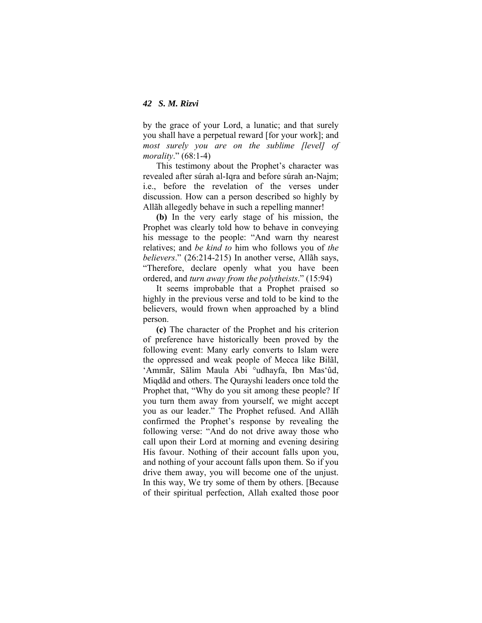by the grace of your Lord, a lunatic; and that surely you shall have a perpetual reward [for your work]; and *most surely you are on the sublime [level] of morality*." (68:1-4)

 This testimony about the Prophet's character was revealed after súrah al-Iqra and before súrah an-Najm; i.e., before the revelation of the verses under discussion. How can a person described so highly by Allãh allegedly behave in such a repelling manner!

**(b)** In the very early stage of his mission, the Prophet was clearly told how to behave in conveying his message to the people: "And warn thy nearest relatives; and *be kind to* him who follows you of *the believers*." (26:214-215) In another verse, Allãh says, "Therefore, declare openly what you have been ordered, and *turn away from the polytheists*." (15:94)

 It seems improbable that a Prophet praised so highly in the previous verse and told to be kind to the believers, would frown when approached by a blind person.

**(c)** The character of the Prophet and his criterion of preference have historically been proved by the following event: Many early converts to Islam were the oppressed and weak people of Mecca like Bilãl, 'Ammãr, Sãlim Maula Abi °udhayfa, Ibn Mas'ûd, Miqdãd and others. The Qurayshi leaders once told the Prophet that, "Why do you sit among these people? If you turn them away from yourself, we might accept you as our leader." The Prophet refused. And Allãh confirmed the Prophet's response by revealing the following verse: "And do not drive away those who call upon their Lord at morning and evening desiring His favour. Nothing of their account falls upon you, and nothing of your account falls upon them. So if you drive them away, you will become one of the unjust. In this way, We try some of them by others. [Because of their spiritual perfection, Allah exalted those poor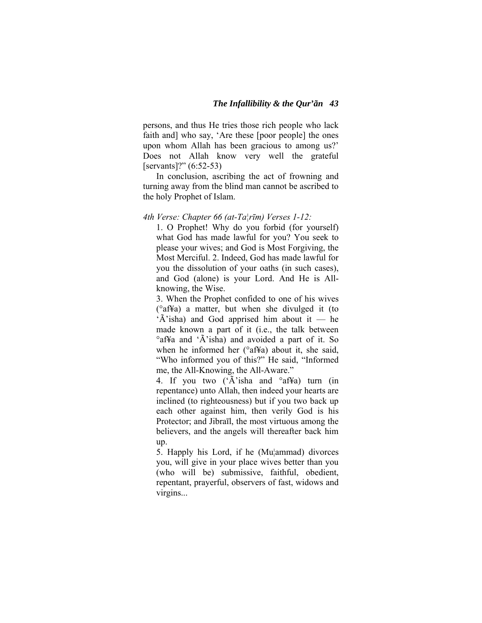persons, and thus He tries those rich people who lack faith and] who say, 'Are these [poor people] the ones upon whom Allah has been gracious to among us?' Does not Allah know very well the grateful [servants]?" (6:52-53)

 In conclusion, ascribing the act of frowning and turning away from the blind man cannot be ascribed to the holy Prophet of Islam.

#### *4th Verse: Chapter 66 (at-Ta¦rīm) Verses 1-12:*

1. O Prophet! Why do you forbid (for yourself) what God has made lawful for you? You seek to please your wives; and God is Most Forgiving, the Most Merciful. 2. Indeed, God has made lawful for you the dissolution of your oaths (in such cases), and God (alone) is your Lord. And He is Allknowing, the Wise.

3. When the Prophet confided to one of his wives (°af¥a) a matter, but when she divulged it (to  $\hat{A}$ 'isha) and God apprised him about it — he made known a part of it (i.e., the talk between °af¥a and 'Ã'isha) and avoided a part of it. So when he informed her (°af¥a) about it, she said, "Who informed you of this?" He said, "Informed me, the All-Knowing, the All-Aware."

4. If you two ('Ã'isha and °af¥a) turn (in repentance) unto Allah, then indeed your hearts are inclined (to righteousness) but if you two back up each other against him, then verily God is his Protector; and Jibraīl, the most virtuous among the believers, and the angels will thereafter back him up.

5. Happly his Lord, if he (Mu¦ammad) divorces you, will give in your place wives better than you (who will be) submissive, faithful, obedient, repentant, prayerful, observers of fast, widows and virgins...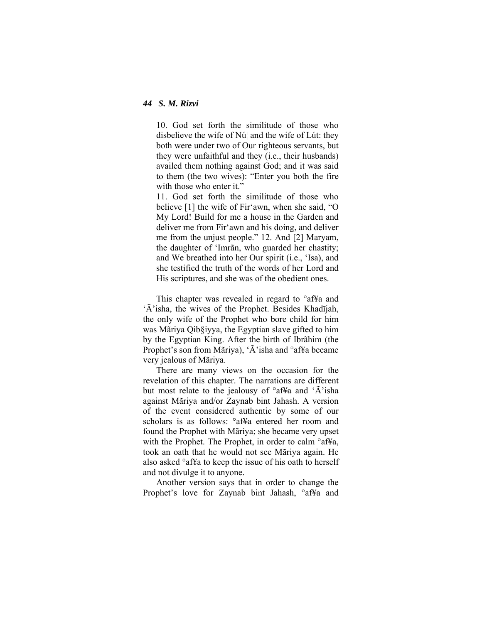10. God set forth the similitude of those who disbelieve the wife of Nú¦ and the wife of Lút: they both were under two of Our righteous servants, but they were unfaithful and they (i.e., their husbands) availed them nothing against God; and it was said to them (the two wives): "Enter you both the fire with those who enter it."

11. God set forth the similitude of those who believe [1] the wife of Fir'awn, when she said, "O My Lord! Build for me a house in the Garden and deliver me from Fir'awn and his doing, and deliver me from the unjust people." 12. And [2] Maryam, the daughter of 'Imrãn, who guarded her chastity; and We breathed into her Our spirit (i.e., 'Isa), and she testified the truth of the words of her Lord and His scriptures, and she was of the obedient ones.

 This chapter was revealed in regard to °af¥a and 'Ã'isha, the wives of the Prophet. Besides Khadījah, the only wife of the Prophet who bore child for him was Mãriya Qib§iyya, the Egyptian slave gifted to him by the Egyptian King. After the birth of Ibrãhim (the Prophet's son from Mãriya), 'Ã'isha and °af¥a became very jealous of Mãriya.

 There are many views on the occasion for the revelation of this chapter. The narrations are different but most relate to the jealousy of °af¥a and 'Ã'isha against Mãriya and/or Zaynab bint Jahash. A version of the event considered authentic by some of our scholars is as follows: °af¥a entered her room and found the Prophet with Mãriya; she became very upset with the Prophet. The Prophet, in order to calm °af¥a, took an oath that he would not see Mãriya again. He also asked °af¥a to keep the issue of his oath to herself and not divulge it to anyone.

 Another version says that in order to change the Prophet's love for Zaynab bint Jahash, °af¥a and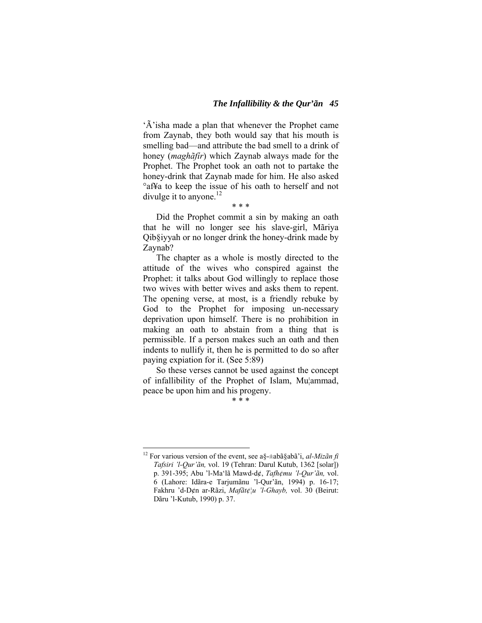'Ã'isha made a plan that whenever the Prophet came from Zaynab, they both would say that his mouth is smelling bad—and attribute the bad smell to a drink of honey (*maghãfír*) which Zaynab always made for the Prophet. The Prophet took an oath not to partake the honey-drink that Zaynab made for him. He also asked °af¥a to keep the issue of his oath to herself and not divulge it to anyone. $^{12}$ 

 Did the Prophet commit a sin by making an oath that he will no longer see his slave-girl, Mãriya Qib§iyyah or no longer drink the honey-drink made by Zaynab?

 The chapter as a whole is mostly directed to the attitude of the wives who conspired against the Prophet: it talks about God willingly to replace those two wives with better wives and asks them to repent. The opening verse, at most, is a friendly rebuke by God to the Prophet for imposing un-necessary deprivation upon himself. There is no prohibition in making an oath to abstain from a thing that is permissible. If a person makes such an oath and then indents to nullify it, then he is permitted to do so after paying expiation for it. (See 5:89)

 So these verses cannot be used against the concept of infallibility of the Prophet of Islam, Mu¦ammad, peace be upon him and his progeny.

\* \* \*

 $\overline{a}$ 

<sup>\* \* \*</sup> 

<sup>12</sup> For various version of the event, see a§-±abã§abã'i, *al-Mizãn fi Tafsiri 'l-Qur'ãn,* vol. 19 (Tehran: Darul Kutub, 1362 [solar]) p. 391-395; Abu 'l-Ma'lã Mawd-d¢, *Tafh¢mu 'l-Qur'ãn,* vol. 6 (Lahore: Idãra-e Tarjumãnu 'l-Qur'ãn, 1994) p. 16-17; Fakhru 'd-D¢n ar-Rãzi, *Mafãt¢¦u 'l-Ghayb,* vol. 30 (Beirut: Dãru 'l-Kutub, 1990) p. 37.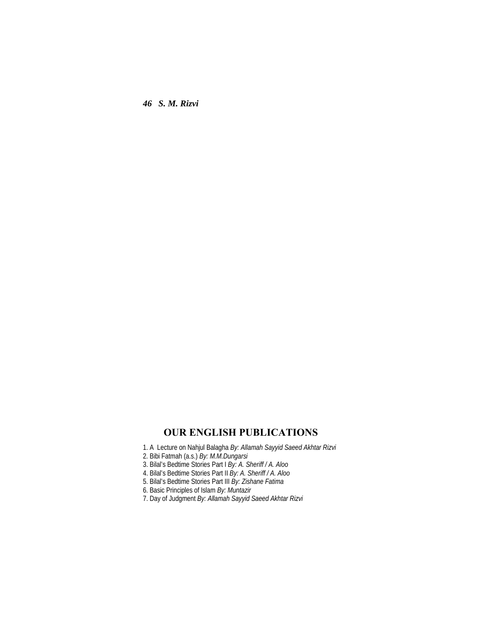## **OUR ENGLISH PUBLICATIONS**

- 1. A Lecture on Nahjul Balagha *By: Allamah Sayyid Saeed Akhtar Rizvi*
- 2. Bibi Fatmah (a.s.) *By: M.M.Dungarsi*
- 3. Bilal's Bedtime Stories Part I *By: A. Sheriff / A. Aloo*
- 4. Bilal's Bedtime Stories Part II *By: A. Sheriff / A. Aloo*
- 5. Bilal's Bedtime Stories Part III *By: Zishane Fatima*
- 6. Basic Principles of Islam *By: Muntazir*
- 7. Day of Judgment *By: Allamah Sayyid Saeed Akhtar Rizvi*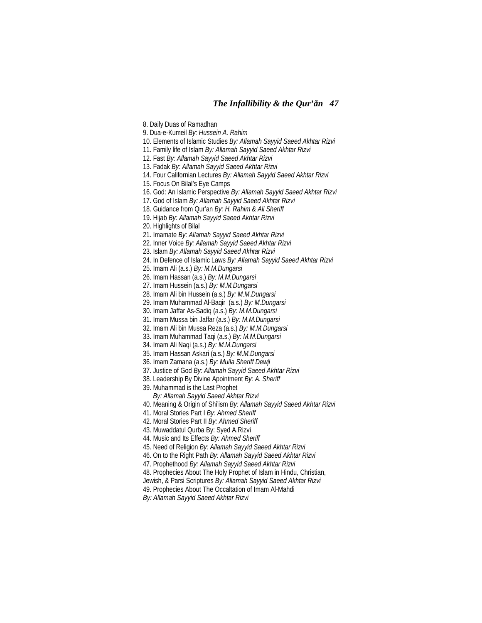#### *The Infallibility & the Qur'ãn 47*

8. Daily Duas of Ramadhan

9. Dua-e-Kumeil *By: Hussein A. Rahim*

10. Elements of Islamic Studies *By: Allamah Sayyid Saeed Akhtar Rizvi*

11. Family life of Islam *By: Allamah Sayyid Saeed Akhtar Rizvi*

12. Fast *By: Allamah Sayyid Saeed Akhtar Rizvi*

13. Fadak *By: Allamah Sayyid Saeed Akhtar Rizvi*

14. Four Californian Lectures *By: Allamah Sayyid Saeed Akhtar Rizvi*

15. Focus On Bilal's Eye Camps

16. God: An Islamic Perspective *By: Allamah Sayyid Saeed Akhtar Rizvi*

17. God of Islam *By: Allamah Sayyid Saeed Akhtar Rizvi*

18. Guidance from Qur'an *By: H. Rahim & Ali Sheriff*

19. Hijab *By: Allamah Sayyid Saeed Akhtar Rizvi*

20. Highlights of Bilal

21. Imamate *By: Allamah Sayyid Saeed Akhtar Rizvi*

22. Inner Voice *By: Allamah Sayyid Saeed Akhtar Rizvi*

23. Islam *By: Allamah Sayyid Saeed Akhtar Rizvi*

24. In Defence of Islamic Laws *By: Allamah Sayyid Saeed Akhtar Rizvi*

25. Imam Ali (a.s.) *By: M.M.Dungarsi*

26. Imam Hassan (a.s.) *By: M.M.Dungarsi*

27. Imam Hussein (a.s.) *By: M.M.Dungarsi*

28. Imam Ali bin Hussein (a.s.) *By: M.M.Dungarsi*

29. Imam Muhammad Al-Baqir (a.s.) *By: M.Dungarsi*

30. Imam Jaffar As-Sadiq (a.s.) *By: M.M.Dungarsi*

31. Imam Mussa bin Jaffar (a.s.) *By: M.M.Dungarsi*

32. Imam Ali bin Mussa Reza (a.s.) *By: M.M.Dungarsi*

33. Imam Muhammad Taqi (a.s.) *By: M.M.Dungarsi*

34. Imam Ali Naqi (a.s.) *By: M.M.Dungarsi*

35. Imam Hassan Askari (a.s.) *By: M.M.Dungarsi*

36. Imam Zamana (a.s.) *By: Mulla Sheriff Dewji*

37. Justice of God *By: Allamah Sayyid Saeed Akhtar Rizvi*

38. Leadership By Divine Apointment *By: A. Sheriff*

39. Muhammad is the Last Prophet

 *By: Allamah Sayyid Saeed Akhtar Rizvi*

40. Meaning & Origin of Shi'ism *By: Allamah Sayyid Saeed Akhtar Rizvi*

41. Moral Stories Part I *By: Ahmed Sheriff*

42. Moral Stories Part II *By: Ahmed Sheriff*

43. Muwaddatul Qurba By: Syed A.Rizvi

44. Music and Its Effects *By: Ahmed Sheriff*

45. Need of Religion *By: Allamah Sayyid Saeed Akhtar Rizvi*

46. On to the Right Path *By: Allamah Sayyid Saeed Akhtar Rizvi*

47. Prophethood *By: Allamah Sayyid Saeed Akhtar Rizvi*

48. Prophecies About The Holy Prophet of Islam in Hindu, Christian,

Jewish, & Parsi Scriptures *By: Allamah Sayyid Saeed Akhtar Rizvi*

49. Prophecies About The Occaltation of Imam Al-Mahdi

*By: Allamah Sayyid Saeed Akhtar Rizvi*